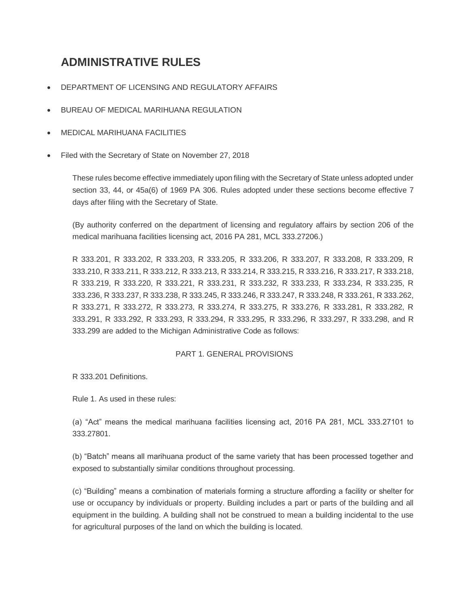# **ADMINISTRATIVE RULES**

- DEPARTMENT OF LICENSING AND REGULATORY AFFAIRS
- BUREAU OF MEDICAL MARIHUANA REGULATION
- MEDICAL MARIHUANA FACILITIES
- Filed with the Secretary of State on November 27, 2018

These rules become effective immediately upon filing with the Secretary of State unless adopted under section 33, 44, or 45a(6) of 1969 PA 306. Rules adopted under these sections become effective 7 days after filing with the Secretary of State.

(By authority conferred on the department of licensing and regulatory affairs by section 206 of the medical marihuana facilities licensing act, 2016 PA 281, MCL 333.27206.)

R 333.201, R 333.202, R 333.203, R 333.205, R 333.206, R 333.207, R 333.208, R 333.209, R 333.210, R 333.211, R 333.212, R 333.213, R 333.214, R 333.215, R 333.216, R 333.217, R 333.218, R 333.219, R 333.220, R 333.221, R 333.231, R 333.232, R 333.233, R 333.234, R 333.235, R 333.236, R 333.237, R 333.238, R 333.245, R 333.246, R 333.247, R 333.248, R 333.261, R 333.262, R 333.271, R 333.272, R 333.273, R 333.274, R 333.275, R 333.276, R 333.281, R 333.282, R 333.291, R 333.292, R 333.293, R 333.294, R 333.295, R 333.296, R 333.297, R 333.298, and R 333.299 are added to the Michigan Administrative Code as follows:

## PART 1. GENERAL PROVISIONS

R 333.201 Definitions.

Rule 1. As used in these rules:

(a) "Act" means the medical marihuana facilities licensing act, 2016 PA 281, MCL 333.27101 to 333.27801.

(b) "Batch" means all marihuana product of the same variety that has been processed together and exposed to substantially similar conditions throughout processing.

(c) "Building" means a combination of materials forming a structure affording a facility or shelter for use or occupancy by individuals or property. Building includes a part or parts of the building and all equipment in the building. A building shall not be construed to mean a building incidental to the use for agricultural purposes of the land on which the building is located.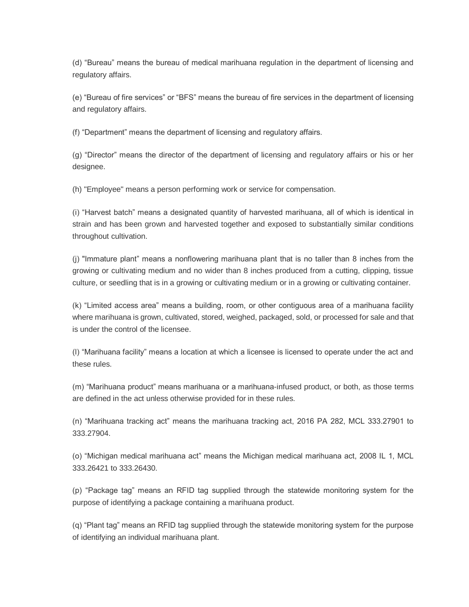(d) "Bureau" means the bureau of medical marihuana regulation in the department of licensing and regulatory affairs.

(e) "Bureau of fire services" or "BFS" means the bureau of fire services in the department of licensing and regulatory affairs.

(f) "Department" means the department of licensing and regulatory affairs.

(g) "Director" means the director of the department of licensing and regulatory affairs or his or her designee.

(h) "Employee" means a person performing work or service for compensation.

(i) "Harvest batch" means a designated quantity of harvested marihuana, all of which is identical in strain and has been grown and harvested together and exposed to substantially similar conditions throughout cultivation.

(j) "Immature plant" means a nonflowering marihuana plant that is no taller than 8 inches from the growing or cultivating medium and no wider than 8 inches produced from a cutting, clipping, tissue culture, or seedling that is in a growing or cultivating medium or in a growing or cultivating container.

(k) "Limited access area" means a building, room, or other contiguous area of a marihuana facility where marihuana is grown, cultivated, stored, weighed, packaged, sold, or processed for sale and that is under the control of the licensee.

(l) "Marihuana facility" means a location at which a licensee is licensed to operate under the act and these rules.

(m) "Marihuana product" means marihuana or a marihuana-infused product, or both, as those terms are defined in the act unless otherwise provided for in these rules.

(n) "Marihuana tracking act" means the marihuana tracking act, 2016 PA 282, MCL 333.27901 to 333.27904.

(o) "Michigan medical marihuana act" means the Michigan medical marihuana act, 2008 IL 1, MCL 333.26421 to 333.26430.

(p) "Package tag" means an RFID tag supplied through the statewide monitoring system for the purpose of identifying a package containing a marihuana product.

(q) "Plant tag" means an RFID tag supplied through the statewide monitoring system for the purpose of identifying an individual marihuana plant.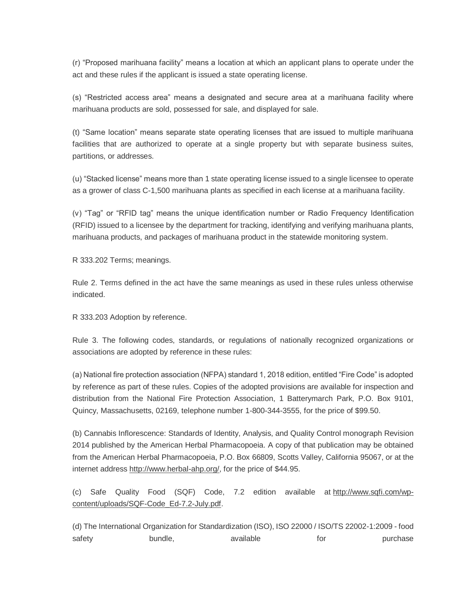(r) "Proposed marihuana facility" means a location at which an applicant plans to operate under the act and these rules if the applicant is issued a state operating license.

(s) "Restricted access area" means a designated and secure area at a marihuana facility where marihuana products are sold, possessed for sale, and displayed for sale.

(t) "Same location" means separate state operating licenses that are issued to multiple marihuana facilities that are authorized to operate at a single property but with separate business suites, partitions, or addresses.

(u) "Stacked license" means more than 1 state operating license issued to a single licensee to operate as a grower of class C-1,500 marihuana plants as specified in each license at a marihuana facility.

(v) "Tag" or "RFID tag" means the unique identification number or Radio Frequency Identification (RFID) issued to a licensee by the department for tracking, identifying and verifying marihuana plants, marihuana products, and packages of marihuana product in the statewide monitoring system.

R 333.202 Terms; meanings.

Rule 2. Terms defined in the act have the same meanings as used in these rules unless otherwise indicated.

R 333.203 Adoption by reference.

Rule 3. The following codes, standards, or regulations of nationally recognized organizations or associations are adopted by reference in these rules:

(a) National fire protection association (NFPA) standard 1, 2018 edition, entitled "Fire Code" is adopted by reference as part of these rules. Copies of the adopted provisions are available for inspection and distribution from the National Fire Protection Association, 1 Batterymarch Park, P.O. Box 9101, Quincy, Massachusetts, 02169, telephone number 1-800-344-3555, for the price of \$99.50.

(b) Cannabis Inflorescence: Standards of Identity, Analysis, and Quality Control monograph Revision 2014 published by the American Herbal Pharmacopoeia. A copy of that publication may be obtained from the American Herbal Pharmacopoeia, P.O. Box 66809, Scotts Valley, California 95067, or at the internet address http://www.herbal-ahp.org/, for the price of \$44.95.

(c) Safe Quality Food (SQF) Code, 7.2 edition available at http://www.sqfi.com/wpcontent/uploads/SQF-Code\_Ed-7.2-July.pdf.

(d) The International Organization for Standardization (ISO), ISO 22000 / ISO/TS 22002-1:2009 - food safety bundle, available for purchase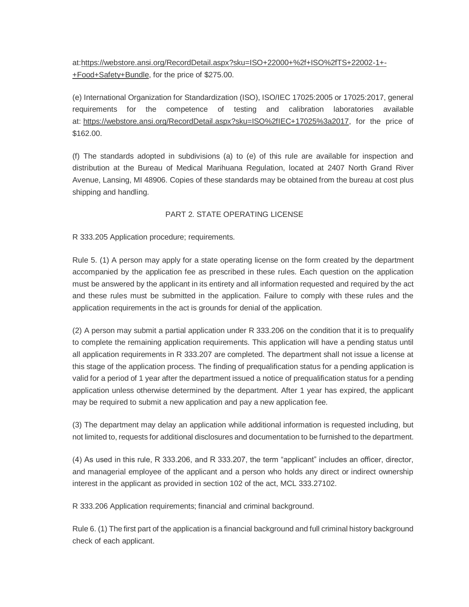at:https://webstore.ansi.org/RecordDetail.aspx?sku=ISO+22000+%2f+ISO%2fTS+22002-1+- +Food+Safety+Bundle, for the price of \$275.00.

(e) International Organization for Standardization (ISO), ISO/IEC 17025:2005 or 17025:2017, general requirements for the competence of testing and calibration laboratories available at: https://webstore.ansi.org/RecordDetail.aspx?sku=ISO%2fIEC+17025%3a2017, for the price of \$162.00.

(f) The standards adopted in subdivisions (a) to (e) of this rule are available for inspection and distribution at the Bureau of Medical Marihuana Regulation, located at 2407 North Grand River Avenue, Lansing, MI 48906. Copies of these standards may be obtained from the bureau at cost plus shipping and handling.

### PART 2. STATE OPERATING LICENSE

R 333.205 Application procedure; requirements.

Rule 5. (1) A person may apply for a state operating license on the form created by the department accompanied by the application fee as prescribed in these rules. Each question on the application must be answered by the applicant in its entirety and all information requested and required by the act and these rules must be submitted in the application. Failure to comply with these rules and the application requirements in the act is grounds for denial of the application.

(2) A person may submit a partial application under R 333.206 on the condition that it is to prequalify to complete the remaining application requirements. This application will have a pending status until all application requirements in R 333.207 are completed. The department shall not issue a license at this stage of the application process. The finding of prequalification status for a pending application is valid for a period of 1 year after the department issued a notice of prequalification status for a pending application unless otherwise determined by the department. After 1 year has expired, the applicant may be required to submit a new application and pay a new application fee.

(3) The department may delay an application while additional information is requested including, but not limited to, requests for additional disclosures and documentation to be furnished to the department.

(4) As used in this rule, R 333.206, and R 333.207, the term "applicant" includes an officer, director, and managerial employee of the applicant and a person who holds any direct or indirect ownership interest in the applicant as provided in section 102 of the act, MCL 333.27102.

R 333.206 Application requirements; financial and criminal background.

Rule 6. (1) The first part of the application is a financial background and full criminal history background check of each applicant.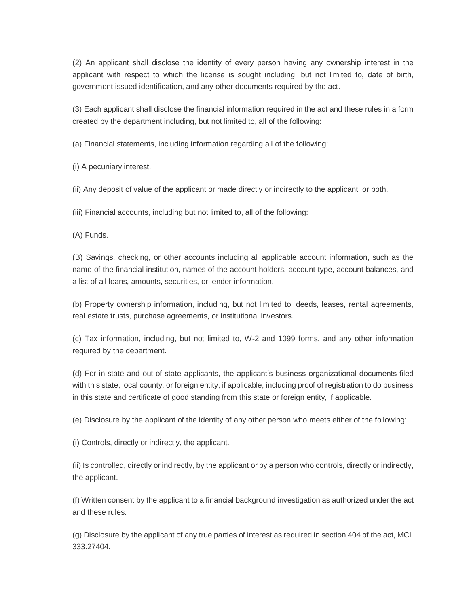(2) An applicant shall disclose the identity of every person having any ownership interest in the applicant with respect to which the license is sought including, but not limited to, date of birth, government issued identification, and any other documents required by the act.

(3) Each applicant shall disclose the financial information required in the act and these rules in a form created by the department including, but not limited to, all of the following:

(a) Financial statements, including information regarding all of the following:

(i) A pecuniary interest.

(ii) Any deposit of value of the applicant or made directly or indirectly to the applicant, or both.

(iii) Financial accounts, including but not limited to, all of the following:

(A) Funds.

(B) Savings, checking, or other accounts including all applicable account information, such as the name of the financial institution, names of the account holders, account type, account balances, and a list of all loans, amounts, securities, or lender information.

(b) Property ownership information, including, but not limited to, deeds, leases, rental agreements, real estate trusts, purchase agreements, or institutional investors.

(c) Tax information, including, but not limited to, W-2 and 1099 forms, and any other information required by the department.

(d) For in-state and out-of-state applicants, the applicant's business organizational documents filed with this state, local county, or foreign entity, if applicable, including proof of registration to do business in this state and certificate of good standing from this state or foreign entity, if applicable.

(e) Disclosure by the applicant of the identity of any other person who meets either of the following:

(i) Controls, directly or indirectly, the applicant.

(ii) Is controlled, directly or indirectly, by the applicant or by a person who controls, directly or indirectly, the applicant.

(f) Written consent by the applicant to a financial background investigation as authorized under the act and these rules.

(g) Disclosure by the applicant of any true parties of interest as required in section 404 of the act, MCL 333.27404.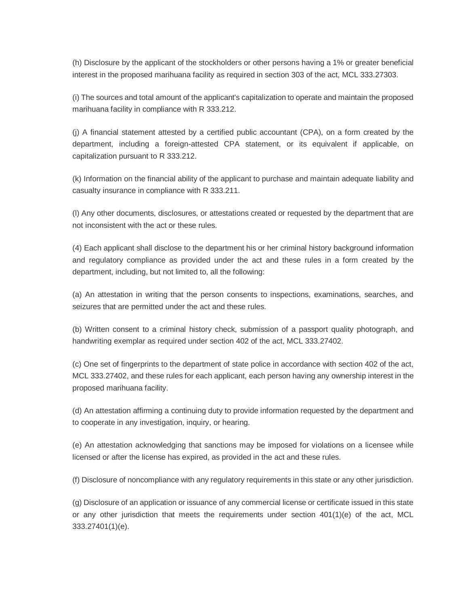(h) Disclosure by the applicant of the stockholders or other persons having a 1% or greater beneficial interest in the proposed marihuana facility as required in section 303 of the act, MCL 333.27303.

(i) The sources and total amount of the applicant's capitalization to operate and maintain the proposed marihuana facility in compliance with R 333.212.

(j) A financial statement attested by a certified public accountant (CPA), on a form created by the department, including a foreign-attested CPA statement, or its equivalent if applicable, on capitalization pursuant to R 333.212.

(k) Information on the financial ability of the applicant to purchase and maintain adequate liability and casualty insurance in compliance with R 333.211.

(l) Any other documents, disclosures, or attestations created or requested by the department that are not inconsistent with the act or these rules.

(4) Each applicant shall disclose to the department his or her criminal history background information and regulatory compliance as provided under the act and these rules in a form created by the department, including, but not limited to, all the following:

(a) An attestation in writing that the person consents to inspections, examinations, searches, and seizures that are permitted under the act and these rules.

(b) Written consent to a criminal history check, submission of a passport quality photograph, and handwriting exemplar as required under section 402 of the act, MCL 333.27402.

(c) One set of fingerprints to the department of state police in accordance with section 402 of the act, MCL 333.27402, and these rules for each applicant, each person having any ownership interest in the proposed marihuana facility.

(d) An attestation affirming a continuing duty to provide information requested by the department and to cooperate in any investigation, inquiry, or hearing.

(e) An attestation acknowledging that sanctions may be imposed for violations on a licensee while licensed or after the license has expired, as provided in the act and these rules.

(f) Disclosure of noncompliance with any regulatory requirements in this state or any other jurisdiction.

(g) Disclosure of an application or issuance of any commercial license or certificate issued in this state or any other jurisdiction that meets the requirements under section 401(1)(e) of the act, MCL 333.27401(1)(e).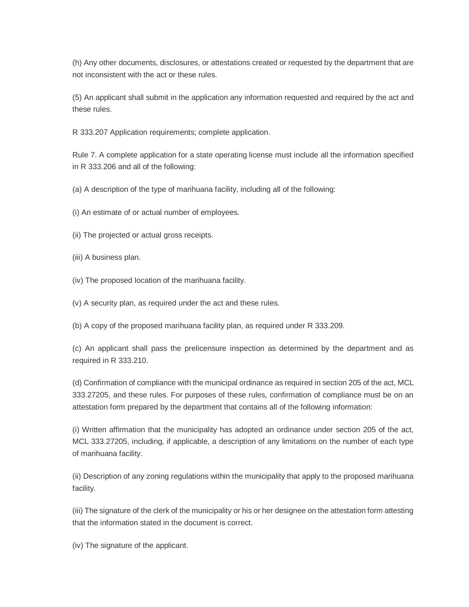(h) Any other documents, disclosures, or attestations created or requested by the department that are not inconsistent with the act or these rules.

(5) An applicant shall submit in the application any information requested and required by the act and these rules.

R 333.207 Application requirements; complete application.

Rule 7. A complete application for a state operating license must include all the information specified in R 333.206 and all of the following:

(a) A description of the type of marihuana facility, including all of the following:

(i) An estimate of or actual number of employees.

(ii) The projected or actual gross receipts.

(iii) A business plan.

(iv) The proposed location of the marihuana facility.

(v) A security plan, as required under the act and these rules.

(b) A copy of the proposed marihuana facility plan, as required under R 333.209.

(c) An applicant shall pass the prelicensure inspection as determined by the department and as required in R 333.210.

(d) Confirmation of compliance with the municipal ordinance as required in section 205 of the act, MCL 333.27205, and these rules. For purposes of these rules, confirmation of compliance must be on an attestation form prepared by the department that contains all of the following information:

(i) Written affirmation that the municipality has adopted an ordinance under section 205 of the act, MCL 333.27205, including, if applicable, a description of any limitations on the number of each type of marihuana facility.

(ii) Description of any zoning regulations within the municipality that apply to the proposed marihuana facility.

(iii) The signature of the clerk of the municipality or his or her designee on the attestation form attesting that the information stated in the document is correct.

(iv) The signature of the applicant.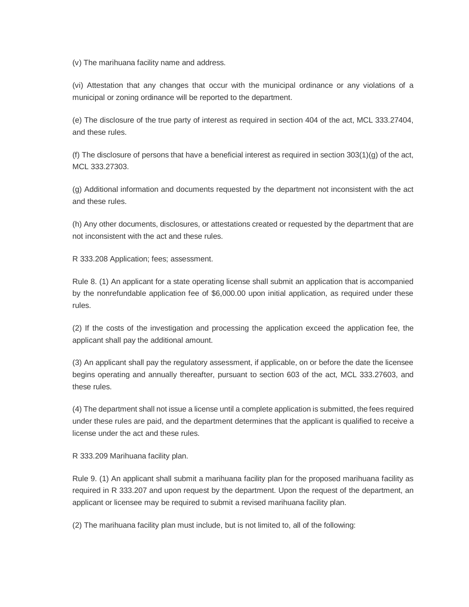(v) The marihuana facility name and address.

(vi) Attestation that any changes that occur with the municipal ordinance or any violations of a municipal or zoning ordinance will be reported to the department.

(e) The disclosure of the true party of interest as required in section 404 of the act, MCL 333.27404, and these rules.

(f) The disclosure of persons that have a beneficial interest as required in section  $303(1)(g)$  of the act, MCL 333.27303.

(g) Additional information and documents requested by the department not inconsistent with the act and these rules.

(h) Any other documents, disclosures, or attestations created or requested by the department that are not inconsistent with the act and these rules.

R 333.208 Application; fees; assessment.

Rule 8. (1) An applicant for a state operating license shall submit an application that is accompanied by the nonrefundable application fee of \$6,000.00 upon initial application, as required under these rules.

(2) If the costs of the investigation and processing the application exceed the application fee, the applicant shall pay the additional amount.

(3) An applicant shall pay the regulatory assessment, if applicable, on or before the date the licensee begins operating and annually thereafter, pursuant to section 603 of the act, MCL 333.27603, and these rules.

(4) The department shall not issue a license until a complete application is submitted, the fees required under these rules are paid, and the department determines that the applicant is qualified to receive a license under the act and these rules.

R 333.209 Marihuana facility plan.

Rule 9. (1) An applicant shall submit a marihuana facility plan for the proposed marihuana facility as required in R 333.207 and upon request by the department. Upon the request of the department, an applicant or licensee may be required to submit a revised marihuana facility plan.

(2) The marihuana facility plan must include, but is not limited to, all of the following: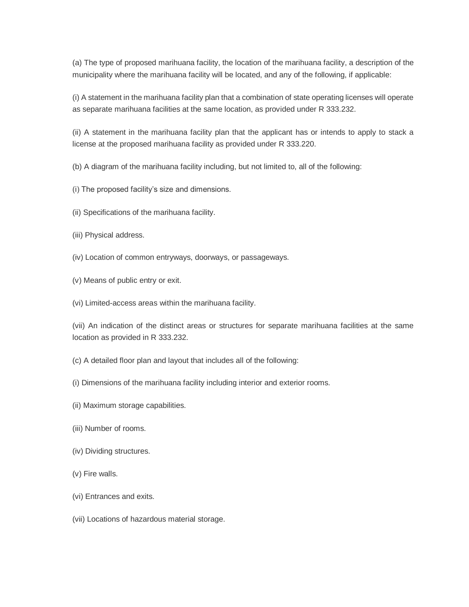(a) The type of proposed marihuana facility, the location of the marihuana facility, a description of the municipality where the marihuana facility will be located, and any of the following, if applicable:

(i) A statement in the marihuana facility plan that a combination of state operating licenses will operate as separate marihuana facilities at the same location, as provided under R 333.232.

(ii) A statement in the marihuana facility plan that the applicant has or intends to apply to stack a license at the proposed marihuana facility as provided under R 333.220.

(b) A diagram of the marihuana facility including, but not limited to, all of the following:

- (i) The proposed facility's size and dimensions.
- (ii) Specifications of the marihuana facility.
- (iii) Physical address.
- (iv) Location of common entryways, doorways, or passageways.
- (v) Means of public entry or exit.
- (vi) Limited-access areas within the marihuana facility.

(vii) An indication of the distinct areas or structures for separate marihuana facilities at the same location as provided in R 333.232.

- (c) A detailed floor plan and layout that includes all of the following:
- (i) Dimensions of the marihuana facility including interior and exterior rooms.
- (ii) Maximum storage capabilities.
- (iii) Number of rooms.
- (iv) Dividing structures.
- (v) Fire walls.
- (vi) Entrances and exits.
- (vii) Locations of hazardous material storage.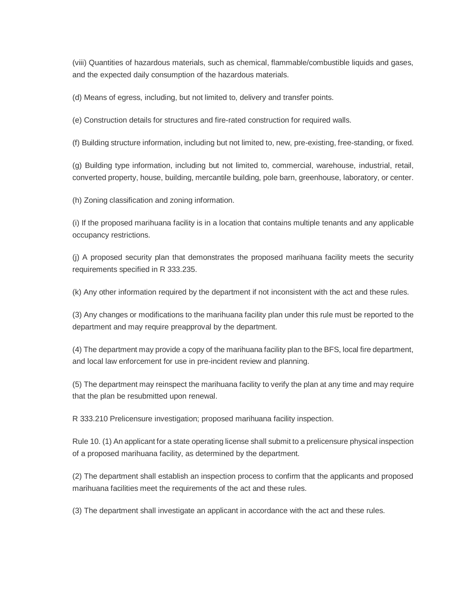(viii) Quantities of hazardous materials, such as chemical, flammable/combustible liquids and gases, and the expected daily consumption of the hazardous materials.

(d) Means of egress, including, but not limited to, delivery and transfer points.

(e) Construction details for structures and fire-rated construction for required walls.

(f) Building structure information, including but not limited to, new, pre-existing, free-standing, or fixed.

(g) Building type information, including but not limited to, commercial, warehouse, industrial, retail, converted property, house, building, mercantile building, pole barn, greenhouse, laboratory, or center.

(h) Zoning classification and zoning information.

(i) If the proposed marihuana facility is in a location that contains multiple tenants and any applicable occupancy restrictions.

(j) A proposed security plan that demonstrates the proposed marihuana facility meets the security requirements specified in R 333.235.

(k) Any other information required by the department if not inconsistent with the act and these rules.

(3) Any changes or modifications to the marihuana facility plan under this rule must be reported to the department and may require preapproval by the department.

(4) The department may provide a copy of the marihuana facility plan to the BFS, local fire department, and local law enforcement for use in pre-incident review and planning.

(5) The department may reinspect the marihuana facility to verify the plan at any time and may require that the plan be resubmitted upon renewal.

R 333.210 Prelicensure investigation; proposed marihuana facility inspection.

Rule 10. (1) An applicant for a state operating license shall submit to a prelicensure physical inspection of a proposed marihuana facility, as determined by the department.

(2) The department shall establish an inspection process to confirm that the applicants and proposed marihuana facilities meet the requirements of the act and these rules.

(3) The department shall investigate an applicant in accordance with the act and these rules.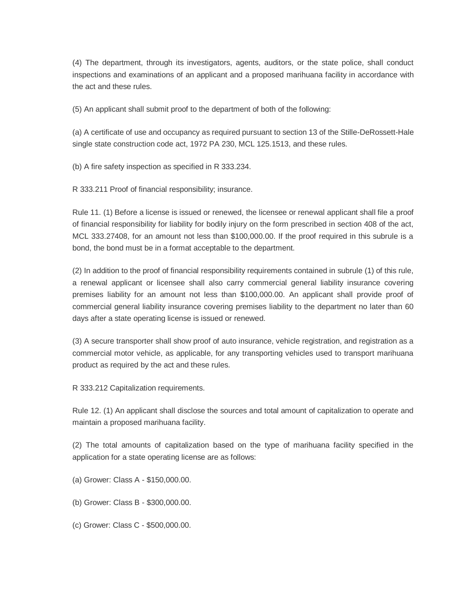(4) The department, through its investigators, agents, auditors, or the state police, shall conduct inspections and examinations of an applicant and a proposed marihuana facility in accordance with the act and these rules.

(5) An applicant shall submit proof to the department of both of the following:

(a) A certificate of use and occupancy as required pursuant to section 13 of the Stille-DeRossett-Hale single state construction code act, 1972 PA 230, MCL 125.1513, and these rules.

(b) A fire safety inspection as specified in R 333.234.

R 333.211 Proof of financial responsibility; insurance.

Rule 11. (1) Before a license is issued or renewed, the licensee or renewal applicant shall file a proof of financial responsibility for liability for bodily injury on the form prescribed in section 408 of the act, MCL 333.27408, for an amount not less than \$100,000.00. If the proof required in this subrule is a bond, the bond must be in a format acceptable to the department.

(2) In addition to the proof of financial responsibility requirements contained in subrule (1) of this rule, a renewal applicant or licensee shall also carry commercial general liability insurance covering premises liability for an amount not less than \$100,000.00. An applicant shall provide proof of commercial general liability insurance covering premises liability to the department no later than 60 days after a state operating license is issued or renewed.

(3) A secure transporter shall show proof of auto insurance, vehicle registration, and registration as a commercial motor vehicle, as applicable, for any transporting vehicles used to transport marihuana product as required by the act and these rules.

R 333.212 Capitalization requirements.

Rule 12. (1) An applicant shall disclose the sources and total amount of capitalization to operate and maintain a proposed marihuana facility.

(2) The total amounts of capitalization based on the type of marihuana facility specified in the application for a state operating license are as follows:

- (a) Grower: Class A \$150,000.00.
- (b) Grower: Class B \$300,000.00.
- (c) Grower: Class C \$500,000.00.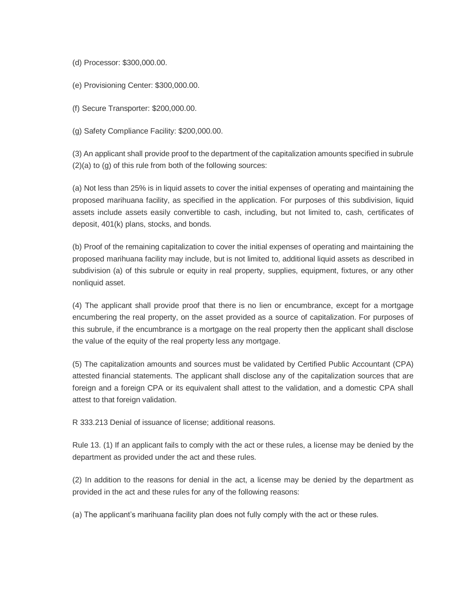- (d) Processor: \$300,000.00.
- (e) Provisioning Center: \$300,000.00.
- (f) Secure Transporter: \$200,000.00.
- (g) Safety Compliance Facility: \$200,000.00.

(3) An applicant shall provide proof to the department of the capitalization amounts specified in subrule (2)(a) to (g) of this rule from both of the following sources:

(a) Not less than 25% is in liquid assets to cover the initial expenses of operating and maintaining the proposed marihuana facility, as specified in the application. For purposes of this subdivision, liquid assets include assets easily convertible to cash, including, but not limited to, cash, certificates of deposit, 401(k) plans, stocks, and bonds.

(b) Proof of the remaining capitalization to cover the initial expenses of operating and maintaining the proposed marihuana facility may include, but is not limited to, additional liquid assets as described in subdivision (a) of this subrule or equity in real property, supplies, equipment, fixtures, or any other nonliquid asset.

(4) The applicant shall provide proof that there is no lien or encumbrance, except for a mortgage encumbering the real property, on the asset provided as a source of capitalization. For purposes of this subrule, if the encumbrance is a mortgage on the real property then the applicant shall disclose the value of the equity of the real property less any mortgage.

(5) The capitalization amounts and sources must be validated by Certified Public Accountant (CPA) attested financial statements. The applicant shall disclose any of the capitalization sources that are foreign and a foreign CPA or its equivalent shall attest to the validation, and a domestic CPA shall attest to that foreign validation.

R 333.213 Denial of issuance of license; additional reasons.

Rule 13. (1) If an applicant fails to comply with the act or these rules, a license may be denied by the department as provided under the act and these rules.

(2) In addition to the reasons for denial in the act, a license may be denied by the department as provided in the act and these rules for any of the following reasons:

(a) The applicant's marihuana facility plan does not fully comply with the act or these rules.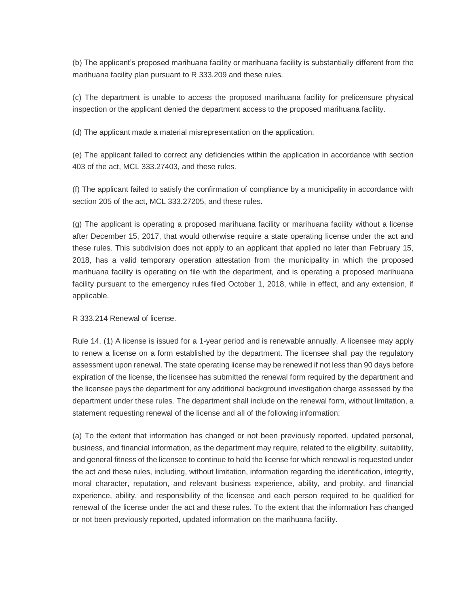(b) The applicant's proposed marihuana facility or marihuana facility is substantially different from the marihuana facility plan pursuant to R 333.209 and these rules.

(c) The department is unable to access the proposed marihuana facility for prelicensure physical inspection or the applicant denied the department access to the proposed marihuana facility.

(d) The applicant made a material misrepresentation on the application.

(e) The applicant failed to correct any deficiencies within the application in accordance with section 403 of the act, MCL 333.27403, and these rules.

(f) The applicant failed to satisfy the confirmation of compliance by a municipality in accordance with section 205 of the act, MCL 333.27205, and these rules.

(g) The applicant is operating a proposed marihuana facility or marihuana facility without a license after December 15, 2017, that would otherwise require a state operating license under the act and these rules. This subdivision does not apply to an applicant that applied no later than February 15, 2018, has a valid temporary operation attestation from the municipality in which the proposed marihuana facility is operating on file with the department, and is operating a proposed marihuana facility pursuant to the emergency rules filed October 1, 2018, while in effect, and any extension, if applicable.

R 333.214 Renewal of license.

Rule 14. (1) A license is issued for a 1-year period and is renewable annually. A licensee may apply to renew a license on a form established by the department. The licensee shall pay the regulatory assessment upon renewal. The state operating license may be renewed if not less than 90 days before expiration of the license, the licensee has submitted the renewal form required by the department and the licensee pays the department for any additional background investigation charge assessed by the department under these rules. The department shall include on the renewal form, without limitation, a statement requesting renewal of the license and all of the following information:

(a) To the extent that information has changed or not been previously reported, updated personal, business, and financial information, as the department may require, related to the eligibility, suitability, and general fitness of the licensee to continue to hold the license for which renewal is requested under the act and these rules, including, without limitation, information regarding the identification, integrity, moral character, reputation, and relevant business experience, ability, and probity, and financial experience, ability, and responsibility of the licensee and each person required to be qualified for renewal of the license under the act and these rules. To the extent that the information has changed or not been previously reported, updated information on the marihuana facility.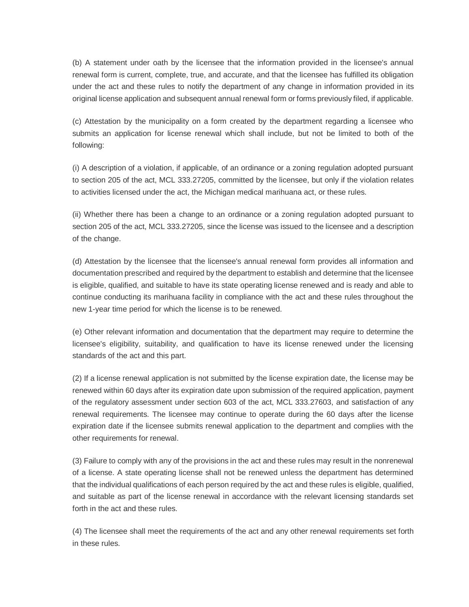(b) A statement under oath by the licensee that the information provided in the licensee's annual renewal form is current, complete, true, and accurate, and that the licensee has fulfilled its obligation under the act and these rules to notify the department of any change in information provided in its original license application and subsequent annual renewal form or forms previously filed, if applicable.

(c) Attestation by the municipality on a form created by the department regarding a licensee who submits an application for license renewal which shall include, but not be limited to both of the following:

(i) A description of a violation, if applicable, of an ordinance or a zoning regulation adopted pursuant to section 205 of the act, MCL 333.27205, committed by the licensee, but only if the violation relates to activities licensed under the act, the Michigan medical marihuana act, or these rules.

(ii) Whether there has been a change to an ordinance or a zoning regulation adopted pursuant to section 205 of the act, MCL 333.27205, since the license was issued to the licensee and a description of the change.

(d) Attestation by the licensee that the licensee's annual renewal form provides all information and documentation prescribed and required by the department to establish and determine that the licensee is eligible, qualified, and suitable to have its state operating license renewed and is ready and able to continue conducting its marihuana facility in compliance with the act and these rules throughout the new 1-year time period for which the license is to be renewed.

(e) Other relevant information and documentation that the department may require to determine the licensee's eligibility, suitability, and qualification to have its license renewed under the licensing standards of the act and this part.

(2) If a license renewal application is not submitted by the license expiration date, the license may be renewed within 60 days after its expiration date upon submission of the required application, payment of the regulatory assessment under section 603 of the act, MCL 333.27603, and satisfaction of any renewal requirements. The licensee may continue to operate during the 60 days after the license expiration date if the licensee submits renewal application to the department and complies with the other requirements for renewal.

(3) Failure to comply with any of the provisions in the act and these rules may result in the nonrenewal of a license. A state operating license shall not be renewed unless the department has determined that the individual qualifications of each person required by the act and these rules is eligible, qualified, and suitable as part of the license renewal in accordance with the relevant licensing standards set forth in the act and these rules.

(4) The licensee shall meet the requirements of the act and any other renewal requirements set forth in these rules.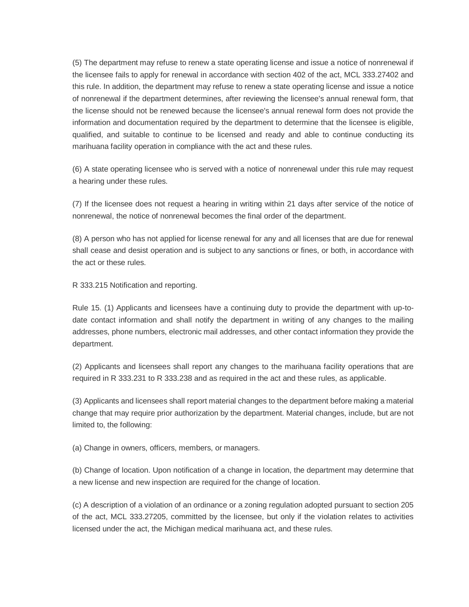(5) The department may refuse to renew a state operating license and issue a notice of nonrenewal if the licensee fails to apply for renewal in accordance with section 402 of the act, MCL 333.27402 and this rule. In addition, the department may refuse to renew a state operating license and issue a notice of nonrenewal if the department determines, after reviewing the licensee's annual renewal form, that the license should not be renewed because the licensee's annual renewal form does not provide the information and documentation required by the department to determine that the licensee is eligible, qualified, and suitable to continue to be licensed and ready and able to continue conducting its marihuana facility operation in compliance with the act and these rules.

(6) A state operating licensee who is served with a notice of nonrenewal under this rule may request a hearing under these rules.

(7) If the licensee does not request a hearing in writing within 21 days after service of the notice of nonrenewal, the notice of nonrenewal becomes the final order of the department.

(8) A person who has not applied for license renewal for any and all licenses that are due for renewal shall cease and desist operation and is subject to any sanctions or fines, or both, in accordance with the act or these rules.

R 333.215 Notification and reporting.

Rule 15. (1) Applicants and licensees have a continuing duty to provide the department with up-todate contact information and shall notify the department in writing of any changes to the mailing addresses, phone numbers, electronic mail addresses, and other contact information they provide the department.

(2) Applicants and licensees shall report any changes to the marihuana facility operations that are required in R 333.231 to R 333.238 and as required in the act and these rules, as applicable.

(3) Applicants and licensees shall report material changes to the department before making a material change that may require prior authorization by the department. Material changes, include, but are not limited to, the following:

(a) Change in owners, officers, members, or managers.

(b) Change of location. Upon notification of a change in location, the department may determine that a new license and new inspection are required for the change of location.

(c) A description of a violation of an ordinance or a zoning regulation adopted pursuant to section 205 of the act, MCL 333.27205, committed by the licensee, but only if the violation relates to activities licensed under the act, the Michigan medical marihuana act, and these rules.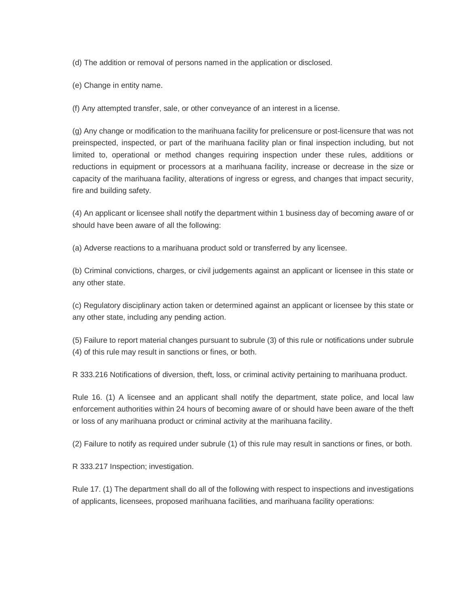(d) The addition or removal of persons named in the application or disclosed.

(e) Change in entity name.

(f) Any attempted transfer, sale, or other conveyance of an interest in a license.

(g) Any change or modification to the marihuana facility for prelicensure or post-licensure that was not preinspected, inspected, or part of the marihuana facility plan or final inspection including, but not limited to, operational or method changes requiring inspection under these rules, additions or reductions in equipment or processors at a marihuana facility, increase or decrease in the size or capacity of the marihuana facility, alterations of ingress or egress, and changes that impact security, fire and building safety.

(4) An applicant or licensee shall notify the department within 1 business day of becoming aware of or should have been aware of all the following:

(a) Adverse reactions to a marihuana product sold or transferred by any licensee.

(b) Criminal convictions, charges, or civil judgements against an applicant or licensee in this state or any other state.

(c) Regulatory disciplinary action taken or determined against an applicant or licensee by this state or any other state, including any pending action.

(5) Failure to report material changes pursuant to subrule (3) of this rule or notifications under subrule (4) of this rule may result in sanctions or fines, or both.

R 333.216 Notifications of diversion, theft, loss, or criminal activity pertaining to marihuana product.

Rule 16. (1) A licensee and an applicant shall notify the department, state police, and local law enforcement authorities within 24 hours of becoming aware of or should have been aware of the theft or loss of any marihuana product or criminal activity at the marihuana facility.

(2) Failure to notify as required under subrule (1) of this rule may result in sanctions or fines, or both.

R 333.217 Inspection; investigation.

Rule 17. (1) The department shall do all of the following with respect to inspections and investigations of applicants, licensees, proposed marihuana facilities, and marihuana facility operations: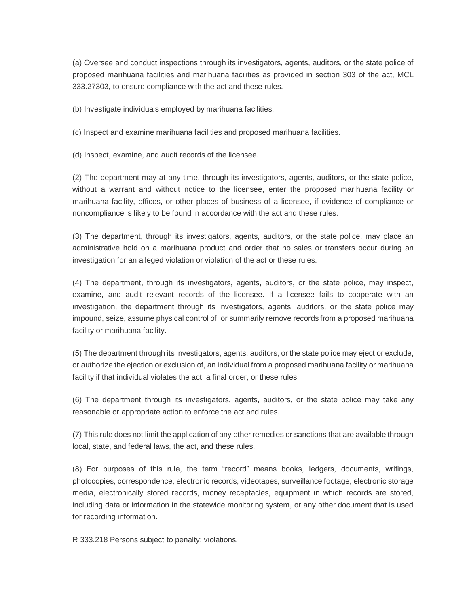(a) Oversee and conduct inspections through its investigators, agents, auditors, or the state police of proposed marihuana facilities and marihuana facilities as provided in section 303 of the act, MCL 333.27303, to ensure compliance with the act and these rules.

(b) Investigate individuals employed by marihuana facilities.

(c) Inspect and examine marihuana facilities and proposed marihuana facilities.

(d) Inspect, examine, and audit records of the licensee.

(2) The department may at any time, through its investigators, agents, auditors, or the state police, without a warrant and without notice to the licensee, enter the proposed marihuana facility or marihuana facility, offices, or other places of business of a licensee, if evidence of compliance or noncompliance is likely to be found in accordance with the act and these rules.

(3) The department, through its investigators, agents, auditors, or the state police, may place an administrative hold on a marihuana product and order that no sales or transfers occur during an investigation for an alleged violation or violation of the act or these rules.

(4) The department, through its investigators, agents, auditors, or the state police, may inspect, examine, and audit relevant records of the licensee. If a licensee fails to cooperate with an investigation, the department through its investigators, agents, auditors, or the state police may impound, seize, assume physical control of, or summarily remove records from a proposed marihuana facility or marihuana facility.

(5) The department through its investigators, agents, auditors, or the state police may eject or exclude, or authorize the ejection or exclusion of, an individual from a proposed marihuana facility or marihuana facility if that individual violates the act, a final order, or these rules.

(6) The department through its investigators, agents, auditors, or the state police may take any reasonable or appropriate action to enforce the act and rules.

(7) This rule does not limit the application of any other remedies or sanctions that are available through local, state, and federal laws, the act, and these rules.

(8) For purposes of this rule, the term "record" means books, ledgers, documents, writings, photocopies, correspondence, electronic records, videotapes, surveillance footage, electronic storage media, electronically stored records, money receptacles, equipment in which records are stored, including data or information in the statewide monitoring system, or any other document that is used for recording information.

R 333.218 Persons subject to penalty; violations.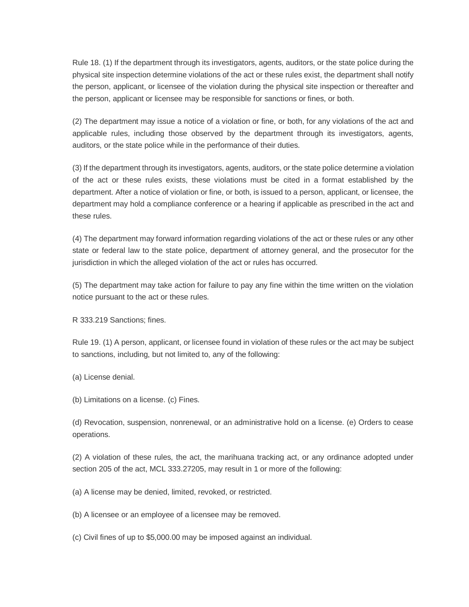Rule 18. (1) If the department through its investigators, agents, auditors, or the state police during the physical site inspection determine violations of the act or these rules exist, the department shall notify the person, applicant, or licensee of the violation during the physical site inspection or thereafter and the person, applicant or licensee may be responsible for sanctions or fines, or both.

(2) The department may issue a notice of a violation or fine, or both, for any violations of the act and applicable rules, including those observed by the department through its investigators, agents, auditors, or the state police while in the performance of their duties.

(3) If the department through its investigators, agents, auditors, or the state police determine a violation of the act or these rules exists, these violations must be cited in a format established by the department. After a notice of violation or fine, or both, is issued to a person, applicant, or licensee, the department may hold a compliance conference or a hearing if applicable as prescribed in the act and these rules.

(4) The department may forward information regarding violations of the act or these rules or any other state or federal law to the state police, department of attorney general, and the prosecutor for the jurisdiction in which the alleged violation of the act or rules has occurred.

(5) The department may take action for failure to pay any fine within the time written on the violation notice pursuant to the act or these rules.

R 333.219 Sanctions; fines.

Rule 19. (1) A person, applicant, or licensee found in violation of these rules or the act may be subject to sanctions, including, but not limited to, any of the following:

(a) License denial.

(b) Limitations on a license. (c) Fines.

(d) Revocation, suspension, nonrenewal, or an administrative hold on a license. (e) Orders to cease operations.

(2) A violation of these rules, the act, the marihuana tracking act, or any ordinance adopted under section 205 of the act, MCL 333.27205, may result in 1 or more of the following:

(a) A license may be denied, limited, revoked, or restricted.

(b) A licensee or an employee of a licensee may be removed.

(c) Civil fines of up to \$5,000.00 may be imposed against an individual.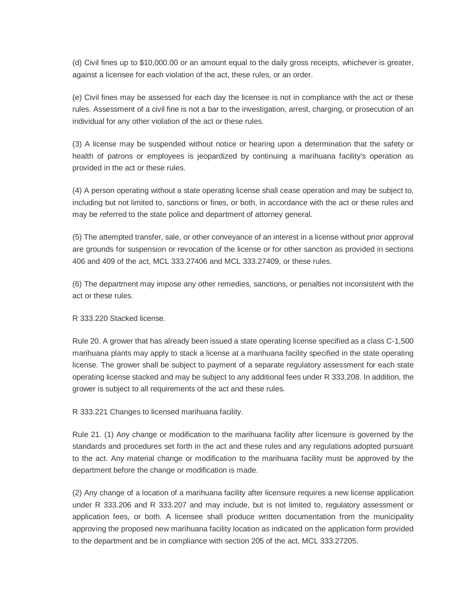(d) Civil fines up to \$10,000.00 or an amount equal to the daily gross receipts, whichever is greater, against a licensee for each violation of the act, these rules, or an order.

(e) Civil fines may be assessed for each day the licensee is not in compliance with the act or these rules. Assessment of a civil fine is not a bar to the investigation, arrest, charging, or prosecution of an individual for any other violation of the act or these rules.

(3) A license may be suspended without notice or hearing upon a determination that the safety or health of patrons or employees is jeopardized by continuing a marihuana facility's operation as provided in the act or these rules.

(4) A person operating without a state operating license shall cease operation and may be subject to, including but not limited to, sanctions or fines, or both, in accordance with the act or these rules and may be referred to the state police and department of attorney general.

(5) The attempted transfer, sale, or other conveyance of an interest in a license without prior approval are grounds for suspension or revocation of the license or for other sanction as provided in sections 406 and 409 of the act, MCL 333.27406 and MCL 333.27409, or these rules.

(6) The department may impose any other remedies, sanctions, or penalties not inconsistent with the act or these rules.

R 333.220 Stacked license.

Rule 20. A grower that has already been issued a state operating license specified as a class C-1,500 marihuana plants may apply to stack a license at a marihuana facility specified in the state operating license. The grower shall be subject to payment of a separate regulatory assessment for each state operating license stacked and may be subject to any additional fees under R 333.208. In addition, the grower is subject to all requirements of the act and these rules.

R 333.221 Changes to licensed marihuana facility.

Rule 21. (1) Any change or modification to the marihuana facility after licensure is governed by the standards and procedures set forth in the act and these rules and any regulations adopted pursuant to the act. Any material change or modification to the marihuana facility must be approved by the department before the change or modification is made.

(2) Any change of a location of a marihuana facility after licensure requires a new license application under R 333.206 and R 333.207 and may include, but is not limited to, regulatory assessment or application fees, or both. A licensee shall produce written documentation from the municipality approving the proposed new marihuana facility location as indicated on the application form provided to the department and be in compliance with section 205 of the act, MCL 333.27205.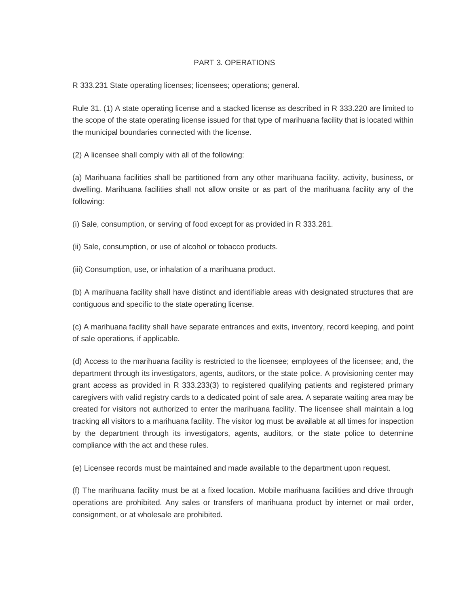## PART 3. OPERATIONS

R 333.231 State operating licenses; licensees; operations; general.

Rule 31. (1) A state operating license and a stacked license as described in R 333.220 are limited to the scope of the state operating license issued for that type of marihuana facility that is located within the municipal boundaries connected with the license.

(2) A licensee shall comply with all of the following:

(a) Marihuana facilities shall be partitioned from any other marihuana facility, activity, business, or dwelling. Marihuana facilities shall not allow onsite or as part of the marihuana facility any of the following:

(i) Sale, consumption, or serving of food except for as provided in R 333.281.

(ii) Sale, consumption, or use of alcohol or tobacco products.

(iii) Consumption, use, or inhalation of a marihuana product.

(b) A marihuana facility shall have distinct and identifiable areas with designated structures that are contiguous and specific to the state operating license.

(c) A marihuana facility shall have separate entrances and exits, inventory, record keeping, and point of sale operations, if applicable.

(d) Access to the marihuana facility is restricted to the licensee; employees of the licensee; and, the department through its investigators, agents, auditors, or the state police. A provisioning center may grant access as provided in R 333.233(3) to registered qualifying patients and registered primary caregivers with valid registry cards to a dedicated point of sale area. A separate waiting area may be created for visitors not authorized to enter the marihuana facility. The licensee shall maintain a log tracking all visitors to a marihuana facility. The visitor log must be available at all times for inspection by the department through its investigators, agents, auditors, or the state police to determine compliance with the act and these rules.

(e) Licensee records must be maintained and made available to the department upon request.

(f) The marihuana facility must be at a fixed location. Mobile marihuana facilities and drive through operations are prohibited. Any sales or transfers of marihuana product by internet or mail order, consignment, or at wholesale are prohibited.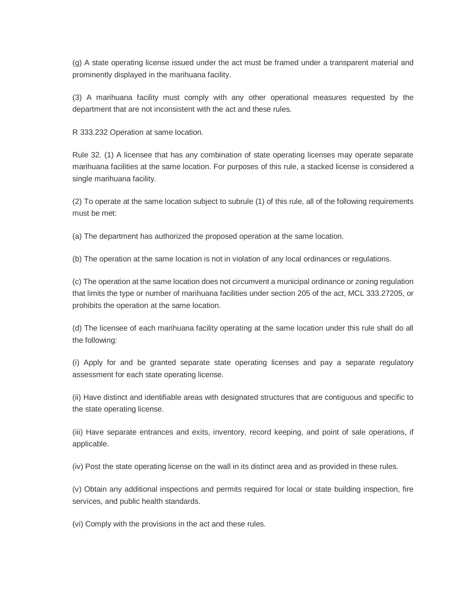(g) A state operating license issued under the act must be framed under a transparent material and prominently displayed in the marihuana facility.

(3) A marihuana facility must comply with any other operational measures requested by the department that are not inconsistent with the act and these rules.

R 333.232 Operation at same location.

Rule 32. (1) A licensee that has any combination of state operating licenses may operate separate marihuana facilities at the same location. For purposes of this rule, a stacked license is considered a single marihuana facility.

(2) To operate at the same location subject to subrule (1) of this rule, all of the following requirements must be met:

(a) The department has authorized the proposed operation at the same location.

(b) The operation at the same location is not in violation of any local ordinances or regulations.

(c) The operation at the same location does not circumvent a municipal ordinance or zoning regulation that limits the type or number of marihuana facilities under section 205 of the act, MCL 333.27205, or prohibits the operation at the same location.

(d) The licensee of each marihuana facility operating at the same location under this rule shall do all the following:

(i) Apply for and be granted separate state operating licenses and pay a separate regulatory assessment for each state operating license.

(ii) Have distinct and identifiable areas with designated structures that are contiguous and specific to the state operating license.

(iii) Have separate entrances and exits, inventory, record keeping, and point of sale operations, if applicable.

(iv) Post the state operating license on the wall in its distinct area and as provided in these rules.

(v) Obtain any additional inspections and permits required for local or state building inspection, fire services, and public health standards.

(vi) Comply with the provisions in the act and these rules.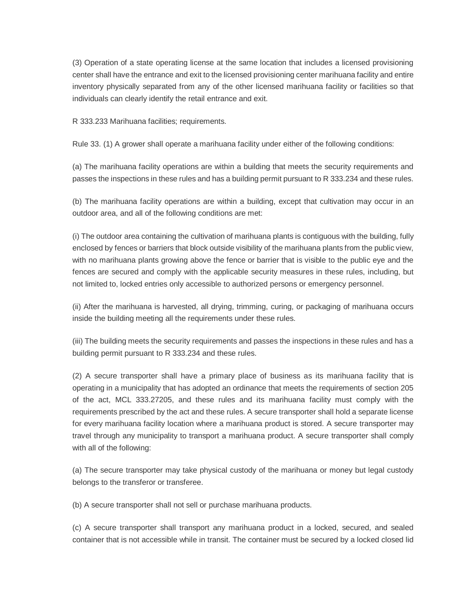(3) Operation of a state operating license at the same location that includes a licensed provisioning center shall have the entrance and exit to the licensed provisioning center marihuana facility and entire inventory physically separated from any of the other licensed marihuana facility or facilities so that individuals can clearly identify the retail entrance and exit.

R 333.233 Marihuana facilities; requirements.

Rule 33. (1) A grower shall operate a marihuana facility under either of the following conditions:

(a) The marihuana facility operations are within a building that meets the security requirements and passes the inspections in these rules and has a building permit pursuant to R 333.234 and these rules.

(b) The marihuana facility operations are within a building, except that cultivation may occur in an outdoor area, and all of the following conditions are met:

(i) The outdoor area containing the cultivation of marihuana plants is contiguous with the building, fully enclosed by fences or barriers that block outside visibility of the marihuana plants from the public view, with no marihuana plants growing above the fence or barrier that is visible to the public eye and the fences are secured and comply with the applicable security measures in these rules, including, but not limited to, locked entries only accessible to authorized persons or emergency personnel.

(ii) After the marihuana is harvested, all drying, trimming, curing, or packaging of marihuana occurs inside the building meeting all the requirements under these rules.

(iii) The building meets the security requirements and passes the inspections in these rules and has a building permit pursuant to R 333.234 and these rules.

(2) A secure transporter shall have a primary place of business as its marihuana facility that is operating in a municipality that has adopted an ordinance that meets the requirements of section 205 of the act, MCL 333.27205, and these rules and its marihuana facility must comply with the requirements prescribed by the act and these rules. A secure transporter shall hold a separate license for every marihuana facility location where a marihuana product is stored. A secure transporter may travel through any municipality to transport a marihuana product. A secure transporter shall comply with all of the following:

(a) The secure transporter may take physical custody of the marihuana or money but legal custody belongs to the transferor or transferee.

(b) A secure transporter shall not sell or purchase marihuana products.

(c) A secure transporter shall transport any marihuana product in a locked, secured, and sealed container that is not accessible while in transit. The container must be secured by a locked closed lid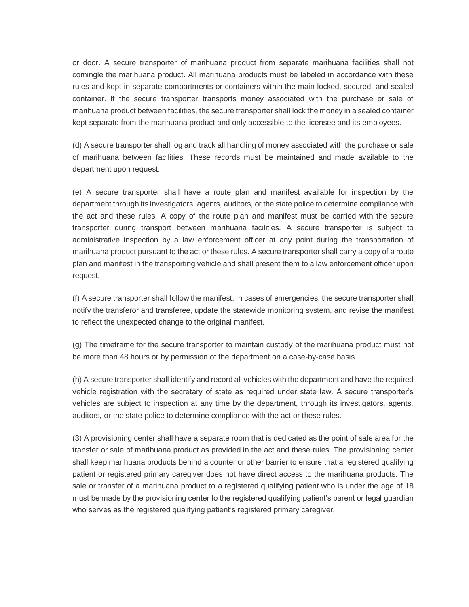or door. A secure transporter of marihuana product from separate marihuana facilities shall not comingle the marihuana product. All marihuana products must be labeled in accordance with these rules and kept in separate compartments or containers within the main locked, secured, and sealed container. If the secure transporter transports money associated with the purchase or sale of marihuana product between facilities, the secure transporter shall lock the money in a sealed container kept separate from the marihuana product and only accessible to the licensee and its employees.

(d) A secure transporter shall log and track all handling of money associated with the purchase or sale of marihuana between facilities. These records must be maintained and made available to the department upon request.

(e) A secure transporter shall have a route plan and manifest available for inspection by the department through its investigators, agents, auditors, or the state police to determine compliance with the act and these rules. A copy of the route plan and manifest must be carried with the secure transporter during transport between marihuana facilities. A secure transporter is subject to administrative inspection by a law enforcement officer at any point during the transportation of marihuana product pursuant to the act or these rules. A secure transporter shall carry a copy of a route plan and manifest in the transporting vehicle and shall present them to a law enforcement officer upon request.

(f) A secure transporter shall follow the manifest. In cases of emergencies, the secure transporter shall notify the transferor and transferee, update the statewide monitoring system, and revise the manifest to reflect the unexpected change to the original manifest.

(g) The timeframe for the secure transporter to maintain custody of the marihuana product must not be more than 48 hours or by permission of the department on a case-by-case basis.

(h) A secure transporter shall identify and record all vehicles with the department and have the required vehicle registration with the secretary of state as required under state law. A secure transporter's vehicles are subject to inspection at any time by the department, through its investigators, agents, auditors, or the state police to determine compliance with the act or these rules.

(3) A provisioning center shall have a separate room that is dedicated as the point of sale area for the transfer or sale of marihuana product as provided in the act and these rules. The provisioning center shall keep marihuana products behind a counter or other barrier to ensure that a registered qualifying patient or registered primary caregiver does not have direct access to the marihuana products. The sale or transfer of a marihuana product to a registered qualifying patient who is under the age of 18 must be made by the provisioning center to the registered qualifying patient's parent or legal guardian who serves as the registered qualifying patient's registered primary caregiver.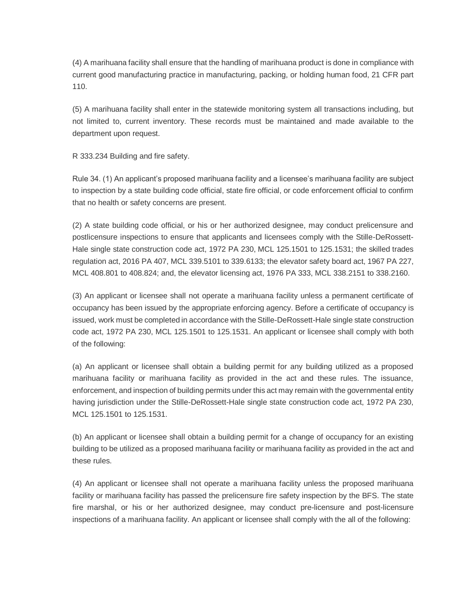(4) A marihuana facility shall ensure that the handling of marihuana product is done in compliance with current good manufacturing practice in manufacturing, packing, or holding human food, 21 CFR part 110.

(5) A marihuana facility shall enter in the statewide monitoring system all transactions including, but not limited to, current inventory. These records must be maintained and made available to the department upon request.

R 333.234 Building and fire safety.

Rule 34. (1) An applicant's proposed marihuana facility and a licensee's marihuana facility are subject to inspection by a state building code official, state fire official, or code enforcement official to confirm that no health or safety concerns are present.

(2) A state building code official, or his or her authorized designee, may conduct prelicensure and postlicensure inspections to ensure that applicants and licensees comply with the Stille-DeRossett-Hale single state construction code act, 1972 PA 230, MCL 125.1501 to 125.1531; the skilled trades regulation act, 2016 PA 407, MCL 339.5101 to 339.6133; the elevator safety board act, 1967 PA 227, MCL 408.801 to 408.824; and, the elevator licensing act, 1976 PA 333, MCL 338.2151 to 338.2160.

(3) An applicant or licensee shall not operate a marihuana facility unless a permanent certificate of occupancy has been issued by the appropriate enforcing agency. Before a certificate of occupancy is issued, work must be completed in accordance with the Stille-DeRossett-Hale single state construction code act, 1972 PA 230, MCL 125.1501 to 125.1531. An applicant or licensee shall comply with both of the following:

(a) An applicant or licensee shall obtain a building permit for any building utilized as a proposed marihuana facility or marihuana facility as provided in the act and these rules. The issuance, enforcement, and inspection of building permits under this act may remain with the governmental entity having jurisdiction under the Stille-DeRossett-Hale single state construction code act, 1972 PA 230, MCL 125.1501 to 125.1531.

(b) An applicant or licensee shall obtain a building permit for a change of occupancy for an existing building to be utilized as a proposed marihuana facility or marihuana facility as provided in the act and these rules.

(4) An applicant or licensee shall not operate a marihuana facility unless the proposed marihuana facility or marihuana facility has passed the prelicensure fire safety inspection by the BFS. The state fire marshal, or his or her authorized designee, may conduct pre-licensure and post-licensure inspections of a marihuana facility. An applicant or licensee shall comply with the all of the following: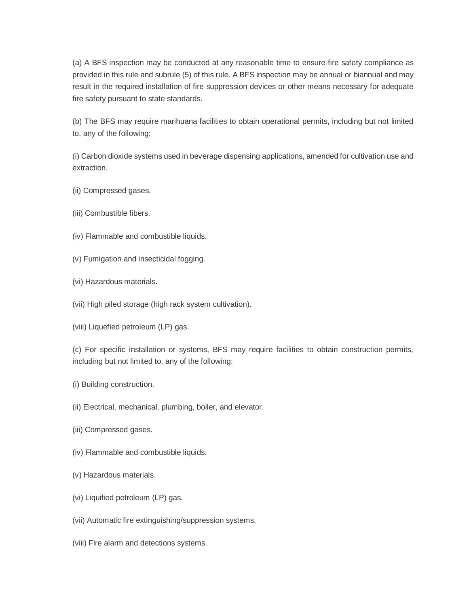(a) A BFS inspection may be conducted at any reasonable time to ensure fire safety compliance as provided in this rule and subrule (5) of this rule. A BFS inspection may be annual or biannual and may result in the required installation of fire suppression devices or other means necessary for adequate fire safety pursuant to state standards.

(b) The BFS may require marihuana facilities to obtain operational permits, including but not limited to, any of the following:

(i) Carbon dioxide systems used in beverage dispensing applications, amended for cultivation use and extraction.

- (ii) Compressed gases.
- (iii) Combustible fibers.
- (iv) Flammable and combustible liquids.
- (v) Fumigation and insecticidal fogging.
- (vi) Hazardous materials.
- (vii) High piled storage (high rack system cultivation).
- (viii) Liquefied petroleum (LP) gas.

(c) For specific installation or systems, BFS may require facilities to obtain construction permits, including but not limited to, any of the following:

- (i) Building construction.
- (ii) Electrical, mechanical, plumbing, boiler, and elevator.
- (iii) Compressed gases.
- (iv) Flammable and combustible liquids.
- (v) Hazardous materials.
- (vi) Liquified petroleum (LP) gas.
- (vii) Automatic fire extinguishing/suppression systems.
- (viii) Fire alarm and detections systems.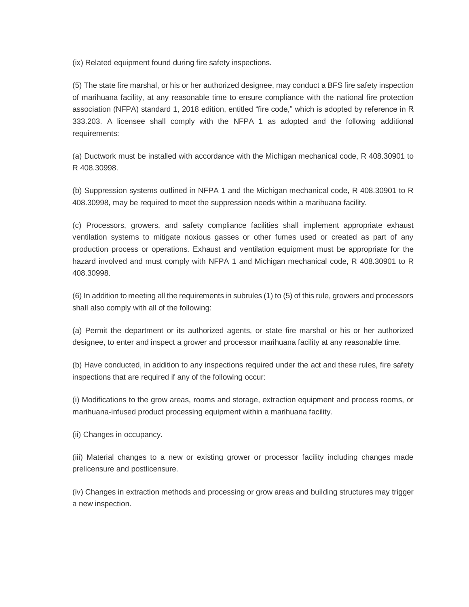(ix) Related equipment found during fire safety inspections.

(5) The state fire marshal, or his or her authorized designee, may conduct a BFS fire safety inspection of marihuana facility, at any reasonable time to ensure compliance with the national fire protection association (NFPA) standard 1, 2018 edition, entitled "fire code," which is adopted by reference in R 333.203. A licensee shall comply with the NFPA 1 as adopted and the following additional requirements:

(a) Ductwork must be installed with accordance with the Michigan mechanical code, R 408.30901 to R 408.30998.

(b) Suppression systems outlined in NFPA 1 and the Michigan mechanical code, R 408.30901 to R 408.30998, may be required to meet the suppression needs within a marihuana facility.

(c) Processors, growers, and safety compliance facilities shall implement appropriate exhaust ventilation systems to mitigate noxious gasses or other fumes used or created as part of any production process or operations. Exhaust and ventilation equipment must be appropriate for the hazard involved and must comply with NFPA 1 and Michigan mechanical code, R 408.30901 to R 408.30998.

(6) In addition to meeting all the requirements in subrules (1) to (5) of this rule, growers and processors shall also comply with all of the following:

(a) Permit the department or its authorized agents, or state fire marshal or his or her authorized designee, to enter and inspect a grower and processor marihuana facility at any reasonable time.

(b) Have conducted, in addition to any inspections required under the act and these rules, fire safety inspections that are required if any of the following occur:

(i) Modifications to the grow areas, rooms and storage, extraction equipment and process rooms, or marihuana-infused product processing equipment within a marihuana facility.

(ii) Changes in occupancy.

(iii) Material changes to a new or existing grower or processor facility including changes made prelicensure and postlicensure.

(iv) Changes in extraction methods and processing or grow areas and building structures may trigger a new inspection.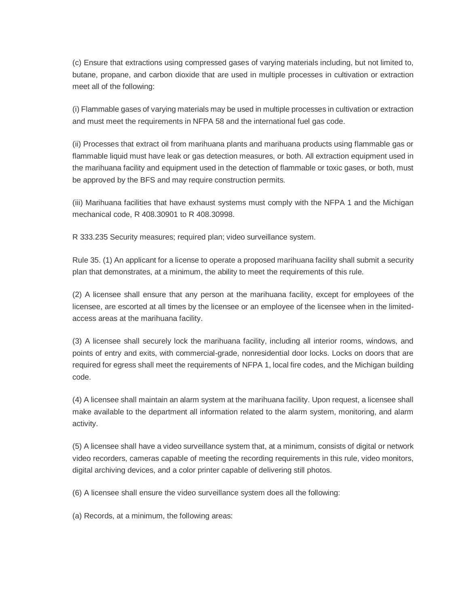(c) Ensure that extractions using compressed gases of varying materials including, but not limited to, butane, propane, and carbon dioxide that are used in multiple processes in cultivation or extraction meet all of the following:

(i) Flammable gases of varying materials may be used in multiple processes in cultivation or extraction and must meet the requirements in NFPA 58 and the international fuel gas code.

(ii) Processes that extract oil from marihuana plants and marihuana products using flammable gas or flammable liquid must have leak or gas detection measures, or both. All extraction equipment used in the marihuana facility and equipment used in the detection of flammable or toxic gases, or both, must be approved by the BFS and may require construction permits.

(iii) Marihuana facilities that have exhaust systems must comply with the NFPA 1 and the Michigan mechanical code, R 408.30901 to R 408.30998.

R 333.235 Security measures; required plan; video surveillance system.

Rule 35. (1) An applicant for a license to operate a proposed marihuana facility shall submit a security plan that demonstrates, at a minimum, the ability to meet the requirements of this rule.

(2) A licensee shall ensure that any person at the marihuana facility, except for employees of the licensee, are escorted at all times by the licensee or an employee of the licensee when in the limitedaccess areas at the marihuana facility.

(3) A licensee shall securely lock the marihuana facility, including all interior rooms, windows, and points of entry and exits, with commercial-grade, nonresidential door locks. Locks on doors that are required for egress shall meet the requirements of NFPA 1, local fire codes, and the Michigan building code.

(4) A licensee shall maintain an alarm system at the marihuana facility. Upon request, a licensee shall make available to the department all information related to the alarm system, monitoring, and alarm activity.

(5) A licensee shall have a video surveillance system that, at a minimum, consists of digital or network video recorders, cameras capable of meeting the recording requirements in this rule, video monitors, digital archiving devices, and a color printer capable of delivering still photos.

(6) A licensee shall ensure the video surveillance system does all the following:

(a) Records, at a minimum, the following areas: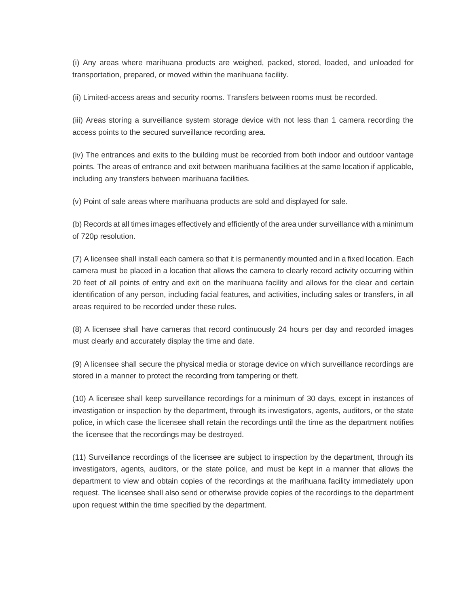(i) Any areas where marihuana products are weighed, packed, stored, loaded, and unloaded for transportation, prepared, or moved within the marihuana facility.

(ii) Limited-access areas and security rooms. Transfers between rooms must be recorded.

(iii) Areas storing a surveillance system storage device with not less than 1 camera recording the access points to the secured surveillance recording area.

(iv) The entrances and exits to the building must be recorded from both indoor and outdoor vantage points. The areas of entrance and exit between marihuana facilities at the same location if applicable, including any transfers between marihuana facilities.

(v) Point of sale areas where marihuana products are sold and displayed for sale.

(b) Records at all times images effectively and efficiently of the area under surveillance with a minimum of 720p resolution.

(7) A licensee shall install each camera so that it is permanently mounted and in a fixed location. Each camera must be placed in a location that allows the camera to clearly record activity occurring within 20 feet of all points of entry and exit on the marihuana facility and allows for the clear and certain identification of any person, including facial features, and activities, including sales or transfers, in all areas required to be recorded under these rules.

(8) A licensee shall have cameras that record continuously 24 hours per day and recorded images must clearly and accurately display the time and date.

(9) A licensee shall secure the physical media or storage device on which surveillance recordings are stored in a manner to protect the recording from tampering or theft.

(10) A licensee shall keep surveillance recordings for a minimum of 30 days, except in instances of investigation or inspection by the department, through its investigators, agents, auditors, or the state police, in which case the licensee shall retain the recordings until the time as the department notifies the licensee that the recordings may be destroyed.

(11) Surveillance recordings of the licensee are subject to inspection by the department, through its investigators, agents, auditors, or the state police, and must be kept in a manner that allows the department to view and obtain copies of the recordings at the marihuana facility immediately upon request. The licensee shall also send or otherwise provide copies of the recordings to the department upon request within the time specified by the department.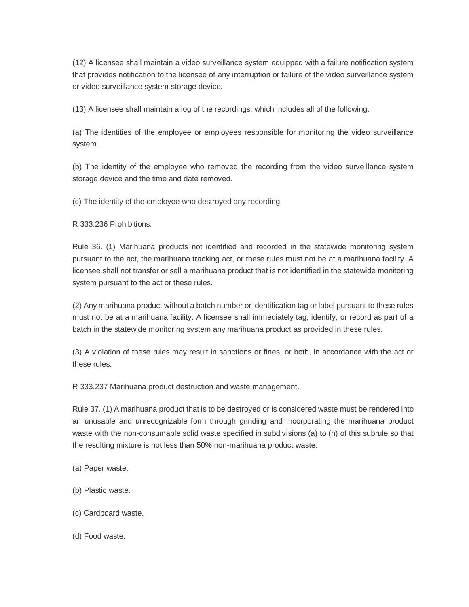(12) A licensee shall maintain a video surveillance system equipped with a failure notification system that provides notification to the licensee of any interruption or failure of the video surveillance system or video surveillance system storage device.

(13) A licensee shall maintain a log of the recordings, which includes all of the following:

(a) The identities of the employee or employees responsible for monitoring the video surveillance system.

(b) The identity of the employee who removed the recording from the video surveillance system storage device and the time and date removed.

(c) The identity of the employee who destroyed any recording.

R 333.236 Prohibitions.

Rule 36. (1) Marihuana products not identified and recorded in the statewide monitoring system pursuant to the act, the marihuana tracking act, or these rules must not be at a marihuana facility. A licensee shall not transfer or sell a marihuana product that is not identified in the statewide monitoring system pursuant to the act or these rules.

(2) Any marihuana product without a batch number or identification tag or label pursuant to these rules must not be at a marihuana facility. A licensee shall immediately tag, identify, or record as part of a batch in the statewide monitoring system any marihuana product as provided in these rules.

(3) A violation of these rules may result in sanctions or fines, or both, in accordance with the act or these rules.

R 333.237 Marihuana product destruction and waste management.

Rule 37. (1) A marihuana product that is to be destroyed or is considered waste must be rendered into an unusable and unrecognizable form through grinding and incorporating the marihuana product waste with the non-consumable solid waste specified in subdivisions (a) to (h) of this subrule so that the resulting mixture is not less than 50% non-marihuana product waste:

- (a) Paper waste.
- (b) Plastic waste.
- (c) Cardboard waste.
- (d) Food waste.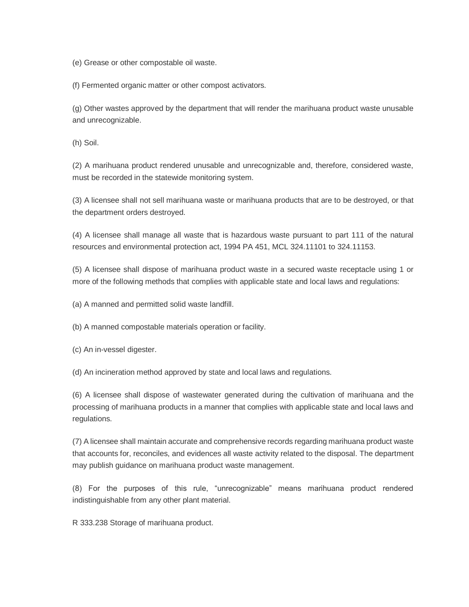(e) Grease or other compostable oil waste.

(f) Fermented organic matter or other compost activators.

(g) Other wastes approved by the department that will render the marihuana product waste unusable and unrecognizable.

(h) Soil.

(2) A marihuana product rendered unusable and unrecognizable and, therefore, considered waste, must be recorded in the statewide monitoring system.

(3) A licensee shall not sell marihuana waste or marihuana products that are to be destroyed, or that the department orders destroyed.

(4) A licensee shall manage all waste that is hazardous waste pursuant to part 111 of the natural resources and environmental protection act, 1994 PA 451, MCL 324.11101 to 324.11153.

(5) A licensee shall dispose of marihuana product waste in a secured waste receptacle using 1 or more of the following methods that complies with applicable state and local laws and regulations:

(a) A manned and permitted solid waste landfill.

(b) A manned compostable materials operation or facility.

(c) An in-vessel digester.

(d) An incineration method approved by state and local laws and regulations.

(6) A licensee shall dispose of wastewater generated during the cultivation of marihuana and the processing of marihuana products in a manner that complies with applicable state and local laws and regulations.

(7) A licensee shall maintain accurate and comprehensive records regarding marihuana product waste that accounts for, reconciles, and evidences all waste activity related to the disposal. The department may publish guidance on marihuana product waste management.

(8) For the purposes of this rule, "unrecognizable" means marihuana product rendered indistinguishable from any other plant material.

R 333.238 Storage of marihuana product.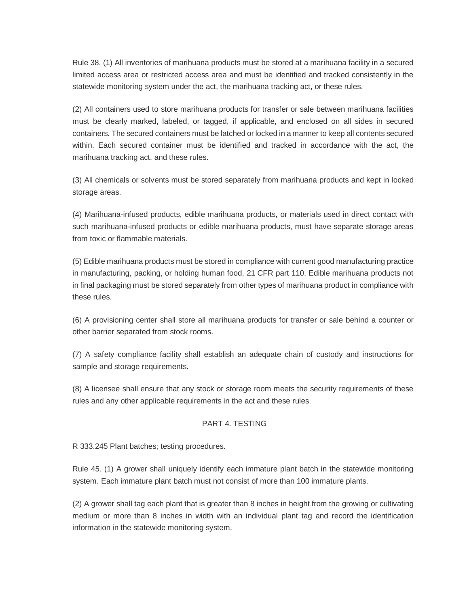Rule 38. (1) All inventories of marihuana products must be stored at a marihuana facility in a secured limited access area or restricted access area and must be identified and tracked consistently in the statewide monitoring system under the act, the marihuana tracking act, or these rules.

(2) All containers used to store marihuana products for transfer or sale between marihuana facilities must be clearly marked, labeled, or tagged, if applicable, and enclosed on all sides in secured containers. The secured containers must be latched or locked in a manner to keep all contents secured within. Each secured container must be identified and tracked in accordance with the act, the marihuana tracking act, and these rules.

(3) All chemicals or solvents must be stored separately from marihuana products and kept in locked storage areas.

(4) Marihuana-infused products, edible marihuana products, or materials used in direct contact with such marihuana-infused products or edible marihuana products, must have separate storage areas from toxic or flammable materials.

(5) Edible marihuana products must be stored in compliance with current good manufacturing practice in manufacturing, packing, or holding human food, 21 CFR part 110. Edible marihuana products not in final packaging must be stored separately from other types of marihuana product in compliance with these rules.

(6) A provisioning center shall store all marihuana products for transfer or sale behind a counter or other barrier separated from stock rooms.

(7) A safety compliance facility shall establish an adequate chain of custody and instructions for sample and storage requirements.

(8) A licensee shall ensure that any stock or storage room meets the security requirements of these rules and any other applicable requirements in the act and these rules.

### PART 4. TESTING

R 333.245 Plant batches; testing procedures.

Rule 45. (1) A grower shall uniquely identify each immature plant batch in the statewide monitoring system. Each immature plant batch must not consist of more than 100 immature plants.

(2) A grower shall tag each plant that is greater than 8 inches in height from the growing or cultivating medium or more than 8 inches in width with an individual plant tag and record the identification information in the statewide monitoring system.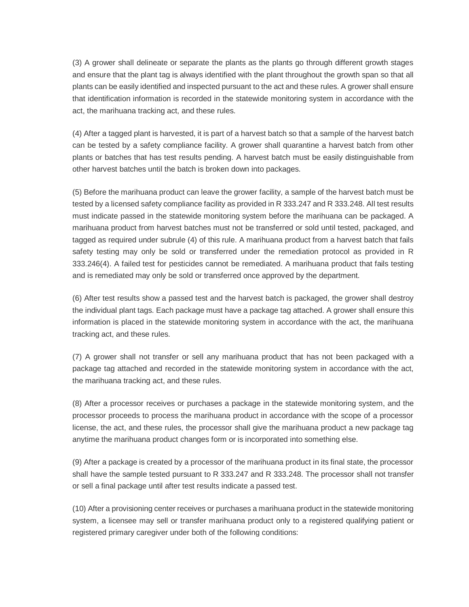(3) A grower shall delineate or separate the plants as the plants go through different growth stages and ensure that the plant tag is always identified with the plant throughout the growth span so that all plants can be easily identified and inspected pursuant to the act and these rules. A grower shall ensure that identification information is recorded in the statewide monitoring system in accordance with the act, the marihuana tracking act, and these rules.

(4) After a tagged plant is harvested, it is part of a harvest batch so that a sample of the harvest batch can be tested by a safety compliance facility. A grower shall quarantine a harvest batch from other plants or batches that has test results pending. A harvest batch must be easily distinguishable from other harvest batches until the batch is broken down into packages.

(5) Before the marihuana product can leave the grower facility, a sample of the harvest batch must be tested by a licensed safety compliance facility as provided in R 333.247 and R 333.248. All test results must indicate passed in the statewide monitoring system before the marihuana can be packaged. A marihuana product from harvest batches must not be transferred or sold until tested, packaged, and tagged as required under subrule (4) of this rule. A marihuana product from a harvest batch that fails safety testing may only be sold or transferred under the remediation protocol as provided in R 333.246(4). A failed test for pesticides cannot be remediated. A marihuana product that fails testing and is remediated may only be sold or transferred once approved by the department.

(6) After test results show a passed test and the harvest batch is packaged, the grower shall destroy the individual plant tags. Each package must have a package tag attached. A grower shall ensure this information is placed in the statewide monitoring system in accordance with the act, the marihuana tracking act, and these rules.

(7) A grower shall not transfer or sell any marihuana product that has not been packaged with a package tag attached and recorded in the statewide monitoring system in accordance with the act, the marihuana tracking act, and these rules.

(8) After a processor receives or purchases a package in the statewide monitoring system, and the processor proceeds to process the marihuana product in accordance with the scope of a processor license, the act, and these rules, the processor shall give the marihuana product a new package tag anytime the marihuana product changes form or is incorporated into something else.

(9) After a package is created by a processor of the marihuana product in its final state, the processor shall have the sample tested pursuant to R 333.247 and R 333.248. The processor shall not transfer or sell a final package until after test results indicate a passed test.

(10) After a provisioning center receives or purchases a marihuana product in the statewide monitoring system, a licensee may sell or transfer marihuana product only to a registered qualifying patient or registered primary caregiver under both of the following conditions: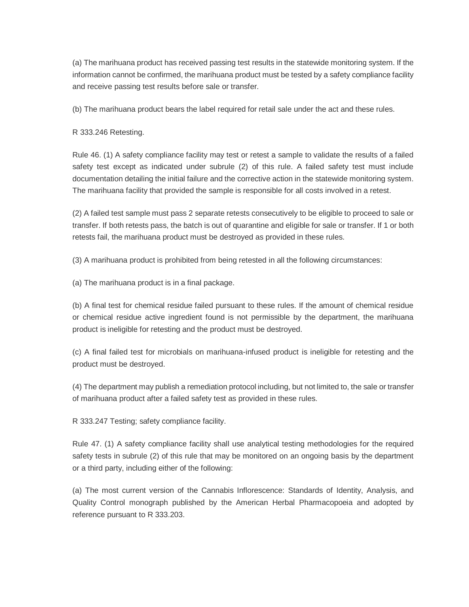(a) The marihuana product has received passing test results in the statewide monitoring system. If the information cannot be confirmed, the marihuana product must be tested by a safety compliance facility and receive passing test results before sale or transfer.

(b) The marihuana product bears the label required for retail sale under the act and these rules.

## R 333.246 Retesting.

Rule 46. (1) A safety compliance facility may test or retest a sample to validate the results of a failed safety test except as indicated under subrule (2) of this rule. A failed safety test must include documentation detailing the initial failure and the corrective action in the statewide monitoring system. The marihuana facility that provided the sample is responsible for all costs involved in a retest.

(2) A failed test sample must pass 2 separate retests consecutively to be eligible to proceed to sale or transfer. If both retests pass, the batch is out of quarantine and eligible for sale or transfer. If 1 or both retests fail, the marihuana product must be destroyed as provided in these rules.

(3) A marihuana product is prohibited from being retested in all the following circumstances:

(a) The marihuana product is in a final package.

(b) A final test for chemical residue failed pursuant to these rules. If the amount of chemical residue or chemical residue active ingredient found is not permissible by the department, the marihuana product is ineligible for retesting and the product must be destroyed.

(c) A final failed test for microbials on marihuana-infused product is ineligible for retesting and the product must be destroyed.

(4) The department may publish a remediation protocol including, but not limited to, the sale or transfer of marihuana product after a failed safety test as provided in these rules.

R 333.247 Testing; safety compliance facility.

Rule 47. (1) A safety compliance facility shall use analytical testing methodologies for the required safety tests in subrule (2) of this rule that may be monitored on an ongoing basis by the department or a third party, including either of the following:

(a) The most current version of the Cannabis Inflorescence: Standards of Identity, Analysis, and Quality Control monograph published by the American Herbal Pharmacopoeia and adopted by reference pursuant to R 333.203.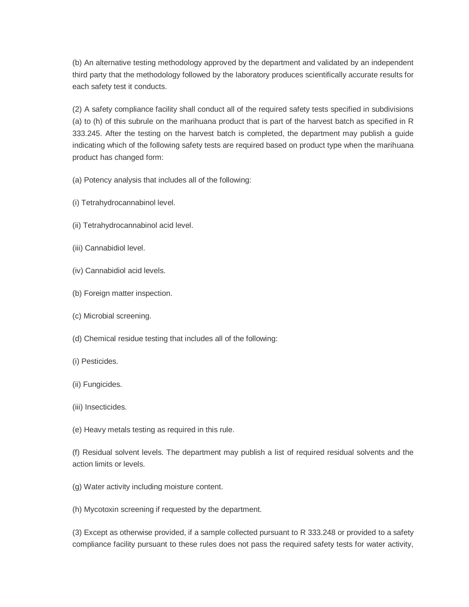(b) An alternative testing methodology approved by the department and validated by an independent third party that the methodology followed by the laboratory produces scientifically accurate results for each safety test it conducts.

(2) A safety compliance facility shall conduct all of the required safety tests specified in subdivisions (a) to (h) of this subrule on the marihuana product that is part of the harvest batch as specified in R 333.245. After the testing on the harvest batch is completed, the department may publish a guide indicating which of the following safety tests are required based on product type when the marihuana product has changed form:

(a) Potency analysis that includes all of the following:

- (i) Tetrahydrocannabinol level.
- (ii) Tetrahydrocannabinol acid level.
- (iii) Cannabidiol level.
- (iv) Cannabidiol acid levels.
- (b) Foreign matter inspection.
- (c) Microbial screening.
- (d) Chemical residue testing that includes all of the following:
- (i) Pesticides.
- (ii) Fungicides.
- (iii) Insecticides.
- (e) Heavy metals testing as required in this rule.

(f) Residual solvent levels. The department may publish a list of required residual solvents and the action limits or levels.

(g) Water activity including moisture content.

(h) Mycotoxin screening if requested by the department.

(3) Except as otherwise provided, if a sample collected pursuant to R 333.248 or provided to a safety compliance facility pursuant to these rules does not pass the required safety tests for water activity,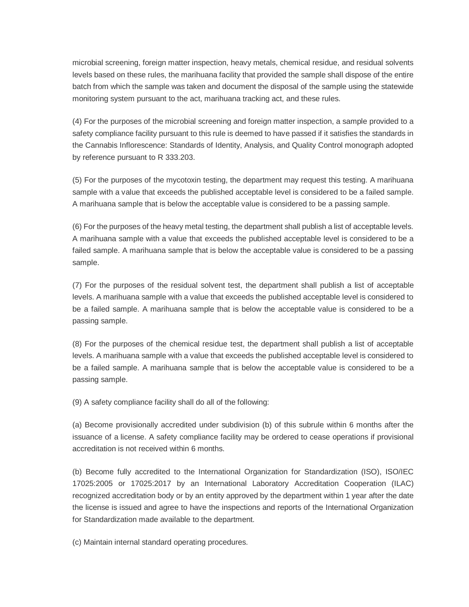microbial screening, foreign matter inspection, heavy metals, chemical residue, and residual solvents levels based on these rules, the marihuana facility that provided the sample shall dispose of the entire batch from which the sample was taken and document the disposal of the sample using the statewide monitoring system pursuant to the act, marihuana tracking act, and these rules.

(4) For the purposes of the microbial screening and foreign matter inspection, a sample provided to a safety compliance facility pursuant to this rule is deemed to have passed if it satisfies the standards in the Cannabis Inflorescence: Standards of Identity, Analysis, and Quality Control monograph adopted by reference pursuant to R 333.203.

(5) For the purposes of the mycotoxin testing, the department may request this testing. A marihuana sample with a value that exceeds the published acceptable level is considered to be a failed sample. A marihuana sample that is below the acceptable value is considered to be a passing sample.

(6) For the purposes of the heavy metal testing, the department shall publish a list of acceptable levels. A marihuana sample with a value that exceeds the published acceptable level is considered to be a failed sample. A marihuana sample that is below the acceptable value is considered to be a passing sample.

(7) For the purposes of the residual solvent test, the department shall publish a list of acceptable levels. A marihuana sample with a value that exceeds the published acceptable level is considered to be a failed sample. A marihuana sample that is below the acceptable value is considered to be a passing sample.

(8) For the purposes of the chemical residue test, the department shall publish a list of acceptable levels. A marihuana sample with a value that exceeds the published acceptable level is considered to be a failed sample. A marihuana sample that is below the acceptable value is considered to be a passing sample.

(9) A safety compliance facility shall do all of the following:

(a) Become provisionally accredited under subdivision (b) of this subrule within 6 months after the issuance of a license. A safety compliance facility may be ordered to cease operations if provisional accreditation is not received within 6 months.

(b) Become fully accredited to the International Organization for Standardization (ISO), ISO/IEC 17025:2005 or 17025:2017 by an International Laboratory Accreditation Cooperation (ILAC) recognized accreditation body or by an entity approved by the department within 1 year after the date the license is issued and agree to have the inspections and reports of the International Organization for Standardization made available to the department.

(c) Maintain internal standard operating procedures.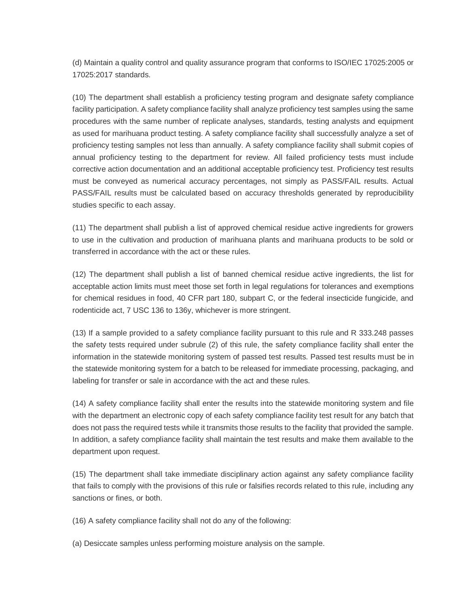(d) Maintain a quality control and quality assurance program that conforms to ISO/IEC 17025:2005 or 17025:2017 standards.

(10) The department shall establish a proficiency testing program and designate safety compliance facility participation. A safety compliance facility shall analyze proficiency test samples using the same procedures with the same number of replicate analyses, standards, testing analysts and equipment as used for marihuana product testing. A safety compliance facility shall successfully analyze a set of proficiency testing samples not less than annually. A safety compliance facility shall submit copies of annual proficiency testing to the department for review. All failed proficiency tests must include corrective action documentation and an additional acceptable proficiency test. Proficiency test results must be conveyed as numerical accuracy percentages, not simply as PASS/FAIL results. Actual PASS/FAIL results must be calculated based on accuracy thresholds generated by reproducibility studies specific to each assay.

(11) The department shall publish a list of approved chemical residue active ingredients for growers to use in the cultivation and production of marihuana plants and marihuana products to be sold or transferred in accordance with the act or these rules.

(12) The department shall publish a list of banned chemical residue active ingredients, the list for acceptable action limits must meet those set forth in legal regulations for tolerances and exemptions for chemical residues in food, 40 CFR part 180, subpart C, or the federal insecticide fungicide, and rodenticide act, 7 USC 136 to 136y, whichever is more stringent.

(13) If a sample provided to a safety compliance facility pursuant to this rule and R 333.248 passes the safety tests required under subrule (2) of this rule, the safety compliance facility shall enter the information in the statewide monitoring system of passed test results. Passed test results must be in the statewide monitoring system for a batch to be released for immediate processing, packaging, and labeling for transfer or sale in accordance with the act and these rules.

(14) A safety compliance facility shall enter the results into the statewide monitoring system and file with the department an electronic copy of each safety compliance facility test result for any batch that does not pass the required tests while it transmits those results to the facility that provided the sample. In addition, a safety compliance facility shall maintain the test results and make them available to the department upon request.

(15) The department shall take immediate disciplinary action against any safety compliance facility that fails to comply with the provisions of this rule or falsifies records related to this rule, including any sanctions or fines, or both.

(16) A safety compliance facility shall not do any of the following:

(a) Desiccate samples unless performing moisture analysis on the sample.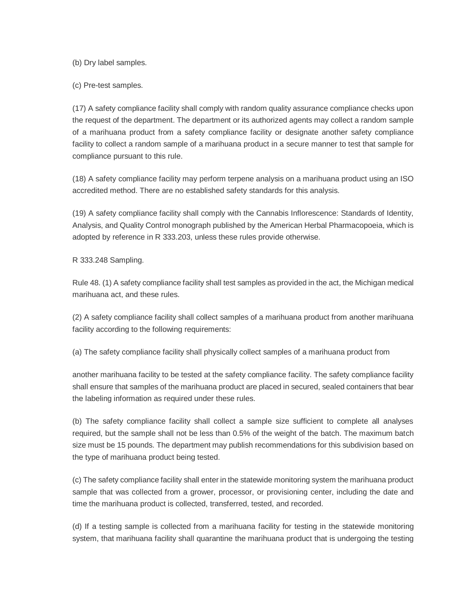(b) Dry label samples.

(c) Pre-test samples.

(17) A safety compliance facility shall comply with random quality assurance compliance checks upon the request of the department. The department or its authorized agents may collect a random sample of a marihuana product from a safety compliance facility or designate another safety compliance facility to collect a random sample of a marihuana product in a secure manner to test that sample for compliance pursuant to this rule.

(18) A safety compliance facility may perform terpene analysis on a marihuana product using an ISO accredited method. There are no established safety standards for this analysis.

(19) A safety compliance facility shall comply with the Cannabis Inflorescence: Standards of Identity, Analysis, and Quality Control monograph published by the American Herbal Pharmacopoeia, which is adopted by reference in R 333.203, unless these rules provide otherwise.

R 333.248 Sampling.

Rule 48. (1) A safety compliance facility shall test samples as provided in the act, the Michigan medical marihuana act, and these rules.

(2) A safety compliance facility shall collect samples of a marihuana product from another marihuana facility according to the following requirements:

(a) The safety compliance facility shall physically collect samples of a marihuana product from

another marihuana facility to be tested at the safety compliance facility. The safety compliance facility shall ensure that samples of the marihuana product are placed in secured, sealed containers that bear the labeling information as required under these rules.

(b) The safety compliance facility shall collect a sample size sufficient to complete all analyses required, but the sample shall not be less than 0.5% of the weight of the batch. The maximum batch size must be 15 pounds. The department may publish recommendations for this subdivision based on the type of marihuana product being tested.

(c) The safety compliance facility shall enter in the statewide monitoring system the marihuana product sample that was collected from a grower, processor, or provisioning center, including the date and time the marihuana product is collected, transferred, tested, and recorded.

(d) If a testing sample is collected from a marihuana facility for testing in the statewide monitoring system, that marihuana facility shall quarantine the marihuana product that is undergoing the testing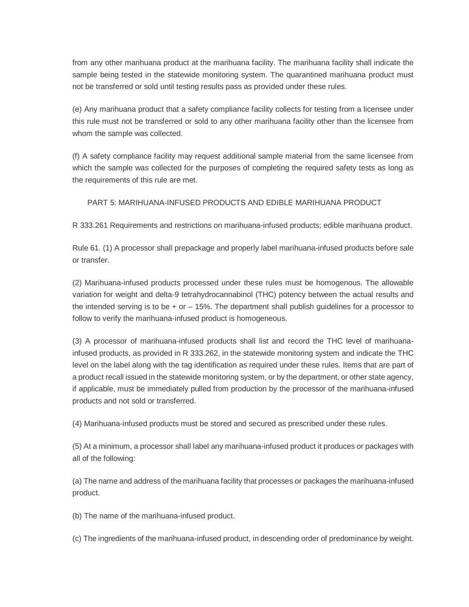from any other marihuana product at the marihuana facility. The marihuana facility shall indicate the sample being tested in the statewide monitoring system. The quarantined marihuana product must not be transferred or sold until testing results pass as provided under these rules.

(e) Any marihuana product that a safety compliance facility collects for testing from a licensee under this rule must not be transferred or sold to any other marihuana facility other than the licensee from whom the sample was collected.

(f) A safety compliance facility may request additional sample material from the same licensee from which the sample was collected for the purposes of completing the required safety tests as long as the requirements of this rule are met.

PART 5: MARIHUANA-INFUSED PRODUCTS AND EDIBLE MARIHUANA PRODUCT

R 333.261 Requirements and restrictions on marihuana-infused products; edible marihuana product.

Rule 61. (1) A processor shall prepackage and properly label marihuana-infused products before sale or transfer.

(2) Marihuana-infused products processed under these rules must be homogenous. The allowable variation for weight and delta-9 tetrahydrocannabinol (THC) potency between the actual results and the intended serving is to be  $+$  or  $-$  15%. The department shall publish guidelines for a processor to follow to verify the marihuana-infused product is homogeneous.

(3) A processor of marihuana-infused products shall list and record the THC level of marihuanainfused products, as provided in R 333.262, in the statewide monitoring system and indicate the THC level on the label along with the tag identification as required under these rules. Items that are part of a product recall issued in the statewide monitoring system, or by the department, or other state agency, if applicable, must be immediately pulled from production by the processor of the marihuana-infused products and not sold or transferred.

(4) Marihuana-infused products must be stored and secured as prescribed under these rules.

(5) At a minimum, a processor shall label any marihuana-infused product it produces or packages with all of the following:

(a) The name and address of the marihuana facility that processes or packages the marihuana-infused product.

(b) The name of the marihuana-infused product.

(c) The ingredients of the marihuana-infused product, in descending order of predominance by weight.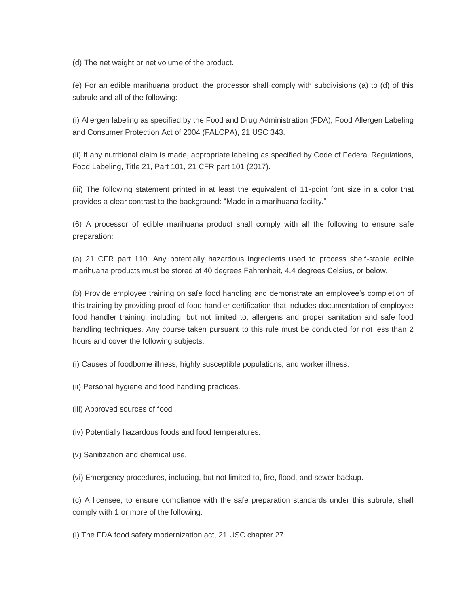(d) The net weight or net volume of the product.

(e) For an edible marihuana product, the processor shall comply with subdivisions (a) to (d) of this subrule and all of the following:

(i) Allergen labeling as specified by the Food and Drug Administration (FDA), Food Allergen Labeling and Consumer Protection Act of 2004 (FALCPA), 21 USC 343.

(ii) If any nutritional claim is made, appropriate labeling as specified by Code of Federal Regulations, Food Labeling, Title 21, Part 101, 21 CFR part 101 (2017).

(iii) The following statement printed in at least the equivalent of 11-point font size in a color that provides a clear contrast to the background: "Made in a marihuana facility."

(6) A processor of edible marihuana product shall comply with all the following to ensure safe preparation:

(a) 21 CFR part 110. Any potentially hazardous ingredients used to process shelf-stable edible marihuana products must be stored at 40 degrees Fahrenheit, 4.4 degrees Celsius, or below.

(b) Provide employee training on safe food handling and demonstrate an employee's completion of this training by providing proof of food handler certification that includes documentation of employee food handler training, including, but not limited to, allergens and proper sanitation and safe food handling techniques. Any course taken pursuant to this rule must be conducted for not less than 2 hours and cover the following subjects:

(i) Causes of foodborne illness, highly susceptible populations, and worker illness.

- (ii) Personal hygiene and food handling practices.
- (iii) Approved sources of food.
- (iv) Potentially hazardous foods and food temperatures.
- (v) Sanitization and chemical use.
- (vi) Emergency procedures, including, but not limited to, fire, flood, and sewer backup.

(c) A licensee, to ensure compliance with the safe preparation standards under this subrule, shall comply with 1 or more of the following:

(i) The FDA food safety modernization act, 21 USC chapter 27.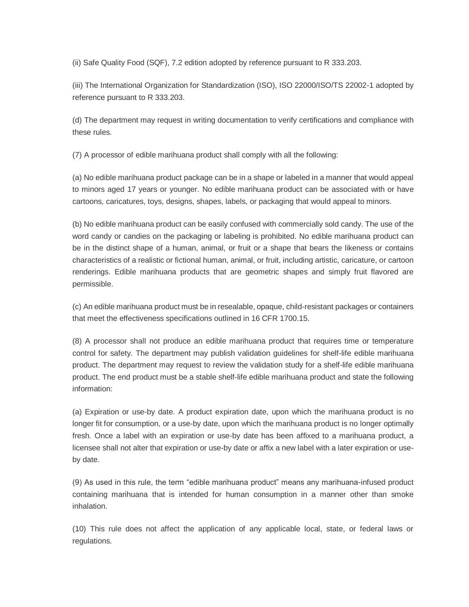(ii) Safe Quality Food (SQF), 7.2 edition adopted by reference pursuant to R 333.203.

(iii) The International Organization for Standardization (ISO), ISO 22000/ISO/TS 22002-1 adopted by reference pursuant to R 333.203.

(d) The department may request in writing documentation to verify certifications and compliance with these rules.

(7) A processor of edible marihuana product shall comply with all the following:

(a) No edible marihuana product package can be in a shape or labeled in a manner that would appeal to minors aged 17 years or younger. No edible marihuana product can be associated with or have cartoons, caricatures, toys, designs, shapes, labels, or packaging that would appeal to minors.

(b) No edible marihuana product can be easily confused with commercially sold candy. The use of the word candy or candies on the packaging or labeling is prohibited. No edible marihuana product can be in the distinct shape of a human, animal, or fruit or a shape that bears the likeness or contains characteristics of a realistic or fictional human, animal, or fruit, including artistic, caricature, or cartoon renderings. Edible marihuana products that are geometric shapes and simply fruit flavored are permissible.

(c) An edible marihuana product must be in resealable, opaque, child-resistant packages or containers that meet the effectiveness specifications outlined in 16 CFR 1700.15.

(8) A processor shall not produce an edible marihuana product that requires time or temperature control for safety. The department may publish validation guidelines for shelf-life edible marihuana product. The department may request to review the validation study for a shelf-life edible marihuana product. The end product must be a stable shelf-life edible marihuana product and state the following information:

(a) Expiration or use-by date. A product expiration date, upon which the marihuana product is no longer fit for consumption, or a use-by date, upon which the marihuana product is no longer optimally fresh. Once a label with an expiration or use-by date has been affixed to a marihuana product, a licensee shall not alter that expiration or use-by date or affix a new label with a later expiration or useby date.

(9) As used in this rule, the term "edible marihuana product" means any marihuana-infused product containing marihuana that is intended for human consumption in a manner other than smoke inhalation.

(10) This rule does not affect the application of any applicable local, state, or federal laws or regulations.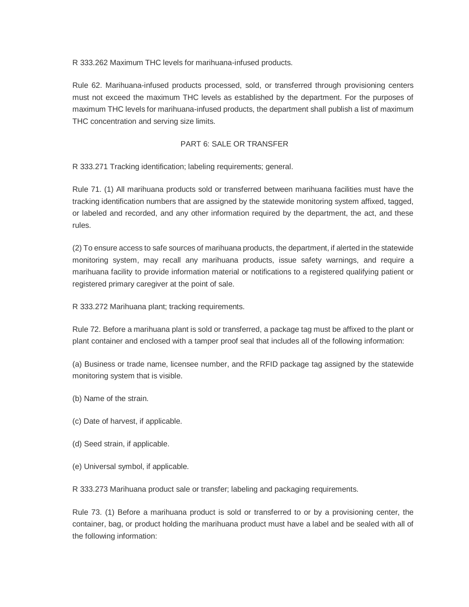R 333.262 Maximum THC levels for marihuana-infused products.

Rule 62. Marihuana-infused products processed, sold, or transferred through provisioning centers must not exceed the maximum THC levels as established by the department. For the purposes of maximum THC levels for marihuana-infused products, the department shall publish a list of maximum THC concentration and serving size limits.

## PART 6: SALE OR TRANSFER

R 333.271 Tracking identification; labeling requirements; general.

Rule 71. (1) All marihuana products sold or transferred between marihuana facilities must have the tracking identification numbers that are assigned by the statewide monitoring system affixed, tagged, or labeled and recorded, and any other information required by the department, the act, and these rules.

(2) To ensure access to safe sources of marihuana products, the department, if alerted in the statewide monitoring system, may recall any marihuana products, issue safety warnings, and require a marihuana facility to provide information material or notifications to a registered qualifying patient or registered primary caregiver at the point of sale.

R 333.272 Marihuana plant; tracking requirements.

Rule 72. Before a marihuana plant is sold or transferred, a package tag must be affixed to the plant or plant container and enclosed with a tamper proof seal that includes all of the following information:

(a) Business or trade name, licensee number, and the RFID package tag assigned by the statewide monitoring system that is visible.

- (b) Name of the strain.
- (c) Date of harvest, if applicable.
- (d) Seed strain, if applicable.
- (e) Universal symbol, if applicable.

R 333.273 Marihuana product sale or transfer; labeling and packaging requirements.

Rule 73. (1) Before a marihuana product is sold or transferred to or by a provisioning center, the container, bag, or product holding the marihuana product must have a label and be sealed with all of the following information: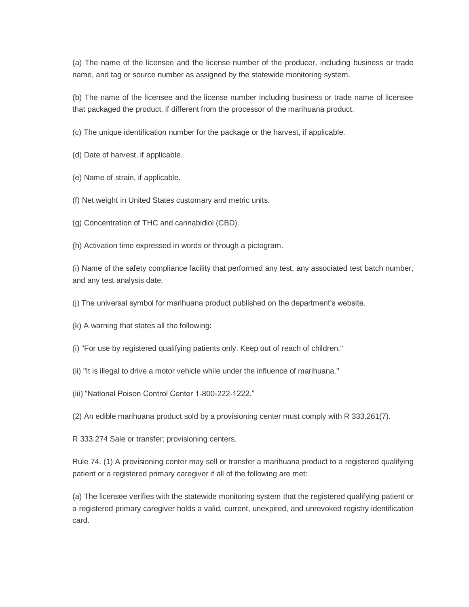(a) The name of the licensee and the license number of the producer, including business or trade name, and tag or source number as assigned by the statewide monitoring system.

(b) The name of the licensee and the license number including business or trade name of licensee that packaged the product, if different from the processor of the marihuana product.

(c) The unique identification number for the package or the harvest, if applicable.

- (d) Date of harvest, if applicable.
- (e) Name of strain, if applicable.
- (f) Net weight in United States customary and metric units.
- (g) Concentration of THC and cannabidiol (CBD).
- (h) Activation time expressed in words or through a pictogram.

(i) Name of the safety compliance facility that performed any test, any associated test batch number, and any test analysis date.

(j) The universal symbol for marihuana product published on the department's website.

- (k) A warning that states all the following:
- (i) "For use by registered qualifying patients only. Keep out of reach of children."
- (ii) "It is illegal to drive a motor vehicle while under the influence of marihuana."
- (iii) "National Poison Control Center 1-800-222-1222."
- (2) An edible marihuana product sold by a provisioning center must comply with R 333.261(7).
- R 333.274 Sale or transfer; provisioning centers.

Rule 74. (1) A provisioning center may sell or transfer a marihuana product to a registered qualifying patient or a registered primary caregiver if all of the following are met:

(a) The licensee verifies with the statewide monitoring system that the registered qualifying patient or a registered primary caregiver holds a valid, current, unexpired, and unrevoked registry identification card.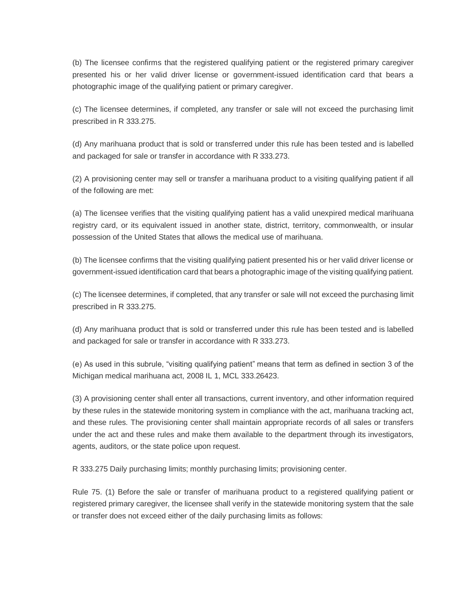(b) The licensee confirms that the registered qualifying patient or the registered primary caregiver presented his or her valid driver license or government-issued identification card that bears a photographic image of the qualifying patient or primary caregiver.

(c) The licensee determines, if completed, any transfer or sale will not exceed the purchasing limit prescribed in R 333.275.

(d) Any marihuana product that is sold or transferred under this rule has been tested and is labelled and packaged for sale or transfer in accordance with R 333.273.

(2) A provisioning center may sell or transfer a marihuana product to a visiting qualifying patient if all of the following are met:

(a) The licensee verifies that the visiting qualifying patient has a valid unexpired medical marihuana registry card, or its equivalent issued in another state, district, territory, commonwealth, or insular possession of the United States that allows the medical use of marihuana.

(b) The licensee confirms that the visiting qualifying patient presented his or her valid driver license or government-issued identification card that bears a photographic image of the visiting qualifying patient.

(c) The licensee determines, if completed, that any transfer or sale will not exceed the purchasing limit prescribed in R 333.275.

(d) Any marihuana product that is sold or transferred under this rule has been tested and is labelled and packaged for sale or transfer in accordance with R 333.273.

(e) As used in this subrule, "visiting qualifying patient" means that term as defined in section 3 of the Michigan medical marihuana act, 2008 IL 1, MCL 333.26423.

(3) A provisioning center shall enter all transactions, current inventory, and other information required by these rules in the statewide monitoring system in compliance with the act, marihuana tracking act, and these rules. The provisioning center shall maintain appropriate records of all sales or transfers under the act and these rules and make them available to the department through its investigators, agents, auditors, or the state police upon request.

R 333.275 Daily purchasing limits; monthly purchasing limits; provisioning center.

Rule 75. (1) Before the sale or transfer of marihuana product to a registered qualifying patient or registered primary caregiver, the licensee shall verify in the statewide monitoring system that the sale or transfer does not exceed either of the daily purchasing limits as follows: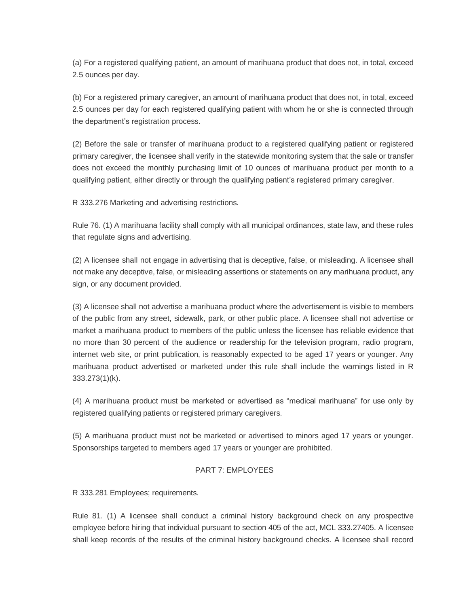(a) For a registered qualifying patient, an amount of marihuana product that does not, in total, exceed 2.5 ounces per day.

(b) For a registered primary caregiver, an amount of marihuana product that does not, in total, exceed 2.5 ounces per day for each registered qualifying patient with whom he or she is connected through the department's registration process.

(2) Before the sale or transfer of marihuana product to a registered qualifying patient or registered primary caregiver, the licensee shall verify in the statewide monitoring system that the sale or transfer does not exceed the monthly purchasing limit of 10 ounces of marihuana product per month to a qualifying patient, either directly or through the qualifying patient's registered primary caregiver.

R 333.276 Marketing and advertising restrictions.

Rule 76. (1) A marihuana facility shall comply with all municipal ordinances, state law, and these rules that regulate signs and advertising.

(2) A licensee shall not engage in advertising that is deceptive, false, or misleading. A licensee shall not make any deceptive, false, or misleading assertions or statements on any marihuana product, any sign, or any document provided.

(3) A licensee shall not advertise a marihuana product where the advertisement is visible to members of the public from any street, sidewalk, park, or other public place. A licensee shall not advertise or market a marihuana product to members of the public unless the licensee has reliable evidence that no more than 30 percent of the audience or readership for the television program, radio program, internet web site, or print publication, is reasonably expected to be aged 17 years or younger. Any marihuana product advertised or marketed under this rule shall include the warnings listed in R 333.273(1)(k).

(4) A marihuana product must be marketed or advertised as "medical marihuana" for use only by registered qualifying patients or registered primary caregivers.

(5) A marihuana product must not be marketed or advertised to minors aged 17 years or younger. Sponsorships targeted to members aged 17 years or younger are prohibited.

## PART 7: EMPLOYEES

R 333.281 Employees; requirements.

Rule 81. (1) A licensee shall conduct a criminal history background check on any prospective employee before hiring that individual pursuant to section 405 of the act, MCL 333.27405. A licensee shall keep records of the results of the criminal history background checks. A licensee shall record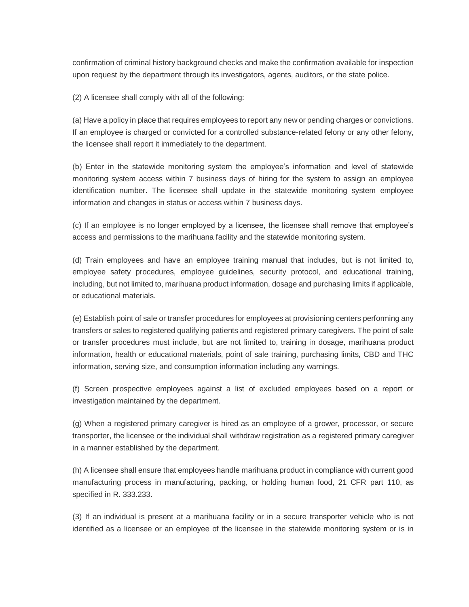confirmation of criminal history background checks and make the confirmation available for inspection upon request by the department through its investigators, agents, auditors, or the state police.

(2) A licensee shall comply with all of the following:

(a) Have a policy in place that requires employees to report any new or pending charges or convictions. If an employee is charged or convicted for a controlled substance-related felony or any other felony, the licensee shall report it immediately to the department.

(b) Enter in the statewide monitoring system the employee's information and level of statewide monitoring system access within 7 business days of hiring for the system to assign an employee identification number. The licensee shall update in the statewide monitoring system employee information and changes in status or access within 7 business days.

(c) If an employee is no longer employed by a licensee, the licensee shall remove that employee's access and permissions to the marihuana facility and the statewide monitoring system.

(d) Train employees and have an employee training manual that includes, but is not limited to, employee safety procedures, employee guidelines, security protocol, and educational training, including, but not limited to, marihuana product information, dosage and purchasing limits if applicable, or educational materials.

(e) Establish point of sale or transfer procedures for employees at provisioning centers performing any transfers or sales to registered qualifying patients and registered primary caregivers. The point of sale or transfer procedures must include, but are not limited to, training in dosage, marihuana product information, health or educational materials, point of sale training, purchasing limits, CBD and THC information, serving size, and consumption information including any warnings.

(f) Screen prospective employees against a list of excluded employees based on a report or investigation maintained by the department.

(g) When a registered primary caregiver is hired as an employee of a grower, processor, or secure transporter, the licensee or the individual shall withdraw registration as a registered primary caregiver in a manner established by the department.

(h) A licensee shall ensure that employees handle marihuana product in compliance with current good manufacturing process in manufacturing, packing, or holding human food, 21 CFR part 110, as specified in R. 333.233.

(3) If an individual is present at a marihuana facility or in a secure transporter vehicle who is not identified as a licensee or an employee of the licensee in the statewide monitoring system or is in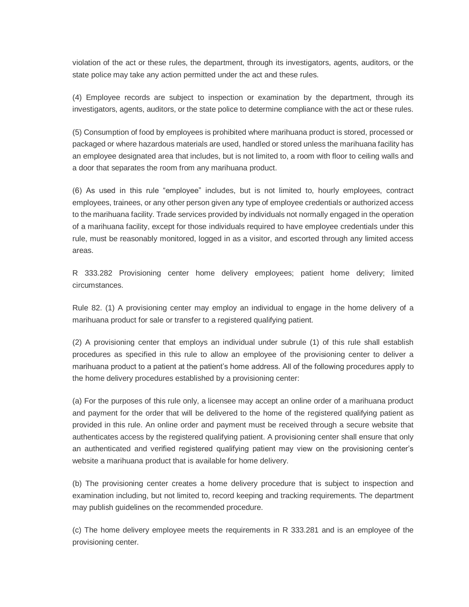violation of the act or these rules, the department, through its investigators, agents, auditors, or the state police may take any action permitted under the act and these rules.

(4) Employee records are subject to inspection or examination by the department, through its investigators, agents, auditors, or the state police to determine compliance with the act or these rules.

(5) Consumption of food by employees is prohibited where marihuana product is stored, processed or packaged or where hazardous materials are used, handled or stored unless the marihuana facility has an employee designated area that includes, but is not limited to, a room with floor to ceiling walls and a door that separates the room from any marihuana product.

(6) As used in this rule "employee" includes, but is not limited to, hourly employees, contract employees, trainees, or any other person given any type of employee credentials or authorized access to the marihuana facility. Trade services provided by individuals not normally engaged in the operation of a marihuana facility, except for those individuals required to have employee credentials under this rule, must be reasonably monitored, logged in as a visitor, and escorted through any limited access areas.

R 333.282 Provisioning center home delivery employees; patient home delivery; limited circumstances.

Rule 82. (1) A provisioning center may employ an individual to engage in the home delivery of a marihuana product for sale or transfer to a registered qualifying patient.

(2) A provisioning center that employs an individual under subrule (1) of this rule shall establish procedures as specified in this rule to allow an employee of the provisioning center to deliver a marihuana product to a patient at the patient's home address. All of the following procedures apply to the home delivery procedures established by a provisioning center:

(a) For the purposes of this rule only, a licensee may accept an online order of a marihuana product and payment for the order that will be delivered to the home of the registered qualifying patient as provided in this rule. An online order and payment must be received through a secure website that authenticates access by the registered qualifying patient. A provisioning center shall ensure that only an authenticated and verified registered qualifying patient may view on the provisioning center's website a marihuana product that is available for home delivery.

(b) The provisioning center creates a home delivery procedure that is subject to inspection and examination including, but not limited to, record keeping and tracking requirements. The department may publish guidelines on the recommended procedure.

(c) The home delivery employee meets the requirements in R 333.281 and is an employee of the provisioning center.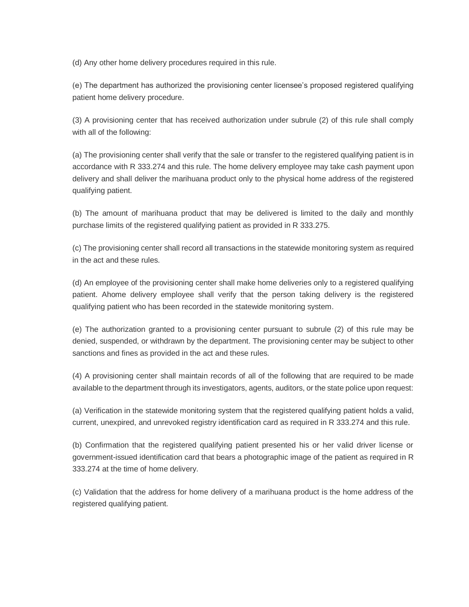(d) Any other home delivery procedures required in this rule.

(e) The department has authorized the provisioning center licensee's proposed registered qualifying patient home delivery procedure.

(3) A provisioning center that has received authorization under subrule (2) of this rule shall comply with all of the following:

(a) The provisioning center shall verify that the sale or transfer to the registered qualifying patient is in accordance with R 333.274 and this rule. The home delivery employee may take cash payment upon delivery and shall deliver the marihuana product only to the physical home address of the registered qualifying patient.

(b) The amount of marihuana product that may be delivered is limited to the daily and monthly purchase limits of the registered qualifying patient as provided in R 333.275.

(c) The provisioning center shall record all transactions in the statewide monitoring system as required in the act and these rules.

(d) An employee of the provisioning center shall make home deliveries only to a registered qualifying patient. Ahome delivery employee shall verify that the person taking delivery is the registered qualifying patient who has been recorded in the statewide monitoring system.

(e) The authorization granted to a provisioning center pursuant to subrule (2) of this rule may be denied, suspended, or withdrawn by the department. The provisioning center may be subject to other sanctions and fines as provided in the act and these rules.

(4) A provisioning center shall maintain records of all of the following that are required to be made available to the department through its investigators, agents, auditors, or the state police upon request:

(a) Verification in the statewide monitoring system that the registered qualifying patient holds a valid, current, unexpired, and unrevoked registry identification card as required in R 333.274 and this rule.

(b) Confirmation that the registered qualifying patient presented his or her valid driver license or government-issued identification card that bears a photographic image of the patient as required in R 333.274 at the time of home delivery.

(c) Validation that the address for home delivery of a marihuana product is the home address of the registered qualifying patient.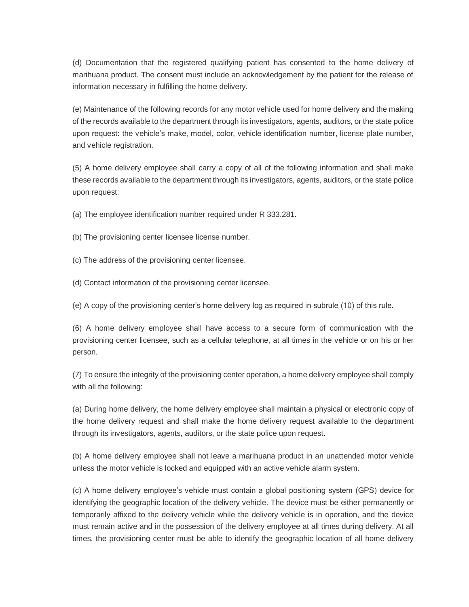(d) Documentation that the registered qualifying patient has consented to the home delivery of marihuana product. The consent must include an acknowledgement by the patient for the release of information necessary in fulfilling the home delivery.

(e) Maintenance of the following records for any motor vehicle used for home delivery and the making of the records available to the department through its investigators, agents, auditors, or the state police upon request: the vehicle's make, model, color, vehicle identification number, license plate number, and vehicle registration.

(5) A home delivery employee shall carry a copy of all of the following information and shall make these records available to the department through its investigators, agents, auditors, or the state police upon request:

(a) The employee identification number required under R 333.281.

(b) The provisioning center licensee license number.

(c) The address of the provisioning center licensee.

(d) Contact information of the provisioning center licensee.

(e) A copy of the provisioning center's home delivery log as required in subrule (10) of this rule.

(6) A home delivery employee shall have access to a secure form of communication with the provisioning center licensee, such as a cellular telephone, at all times in the vehicle or on his or her person.

(7) To ensure the integrity of the provisioning center operation, a home delivery employee shall comply with all the following:

(a) During home delivery, the home delivery employee shall maintain a physical or electronic copy of the home delivery request and shall make the home delivery request available to the department through its investigators, agents, auditors, or the state police upon request.

(b) A home delivery employee shall not leave a marihuana product in an unattended motor vehicle unless the motor vehicle is locked and equipped with an active vehicle alarm system.

(c) A home delivery employee's vehicle must contain a global positioning system (GPS) device for identifying the geographic location of the delivery vehicle. The device must be either permanently or temporarily affixed to the delivery vehicle while the delivery vehicle is in operation, and the device must remain active and in the possession of the delivery employee at all times during delivery. At all times, the provisioning center must be able to identify the geographic location of all home delivery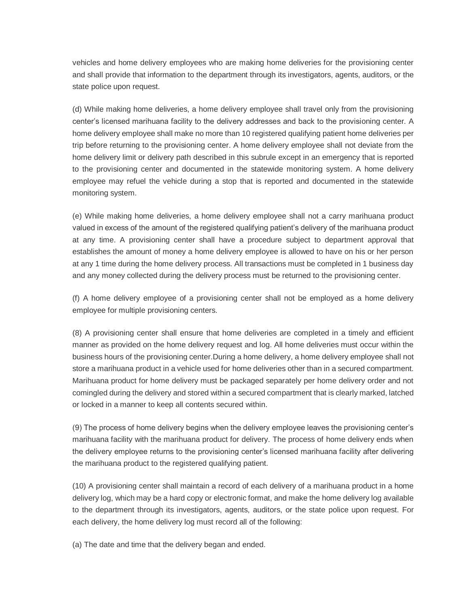vehicles and home delivery employees who are making home deliveries for the provisioning center and shall provide that information to the department through its investigators, agents, auditors, or the state police upon request.

(d) While making home deliveries, a home delivery employee shall travel only from the provisioning center's licensed marihuana facility to the delivery addresses and back to the provisioning center. A home delivery employee shall make no more than 10 registered qualifying patient home deliveries per trip before returning to the provisioning center. A home delivery employee shall not deviate from the home delivery limit or delivery path described in this subrule except in an emergency that is reported to the provisioning center and documented in the statewide monitoring system. A home delivery employee may refuel the vehicle during a stop that is reported and documented in the statewide monitoring system.

(e) While making home deliveries, a home delivery employee shall not a carry marihuana product valued in excess of the amount of the registered qualifying patient's delivery of the marihuana product at any time. A provisioning center shall have a procedure subject to department approval that establishes the amount of money a home delivery employee is allowed to have on his or her person at any 1 time during the home delivery process. All transactions must be completed in 1 business day and any money collected during the delivery process must be returned to the provisioning center.

(f) A home delivery employee of a provisioning center shall not be employed as a home delivery employee for multiple provisioning centers.

(8) A provisioning center shall ensure that home deliveries are completed in a timely and efficient manner as provided on the home delivery request and log. All home deliveries must occur within the business hours of the provisioning center.During a home delivery, a home delivery employee shall not store a marihuana product in a vehicle used for home deliveries other than in a secured compartment. Marihuana product for home delivery must be packaged separately per home delivery order and not comingled during the delivery and stored within a secured compartment that is clearly marked, latched or locked in a manner to keep all contents secured within.

(9) The process of home delivery begins when the delivery employee leaves the provisioning center's marihuana facility with the marihuana product for delivery. The process of home delivery ends when the delivery employee returns to the provisioning center's licensed marihuana facility after delivering the marihuana product to the registered qualifying patient.

(10) A provisioning center shall maintain a record of each delivery of a marihuana product in a home delivery log, which may be a hard copy or electronic format, and make the home delivery log available to the department through its investigators, agents, auditors, or the state police upon request. For each delivery, the home delivery log must record all of the following:

(a) The date and time that the delivery began and ended.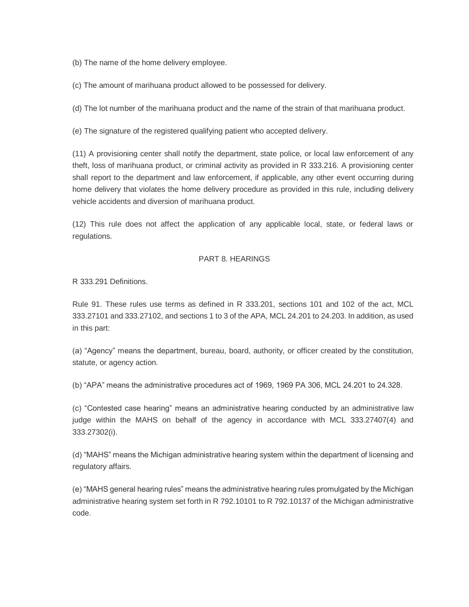(b) The name of the home delivery employee.

(c) The amount of marihuana product allowed to be possessed for delivery.

(d) The lot number of the marihuana product and the name of the strain of that marihuana product.

(e) The signature of the registered qualifying patient who accepted delivery.

(11) A provisioning center shall notify the department, state police, or local law enforcement of any theft, loss of marihuana product, or criminal activity as provided in R 333.216. A provisioning center shall report to the department and law enforcement, if applicable, any other event occurring during home delivery that violates the home delivery procedure as provided in this rule, including delivery vehicle accidents and diversion of marihuana product.

(12) This rule does not affect the application of any applicable local, state, or federal laws or regulations.

#### PART 8. HEARINGS

R 333.291 Definitions.

Rule 91. These rules use terms as defined in R 333.201, sections 101 and 102 of the act, MCL 333.27101 and 333.27102, and sections 1 to 3 of the APA, MCL 24.201 to 24.203. In addition, as used in this part:

(a) "Agency" means the department, bureau, board, authority, or officer created by the constitution, statute, or agency action.

(b) "APA" means the administrative procedures act of 1969, 1969 PA 306, MCL 24.201 to 24.328.

(c) "Contested case hearing" means an administrative hearing conducted by an administrative law judge within the MAHS on behalf of the agency in accordance with MCL 333.27407(4) and 333.27302(i).

(d) "MAHS" means the Michigan administrative hearing system within the department of licensing and regulatory affairs.

(e) "MAHS general hearing rules" means the administrative hearing rules promulgated by the Michigan administrative hearing system set forth in R 792.10101 to R 792.10137 of the Michigan administrative code.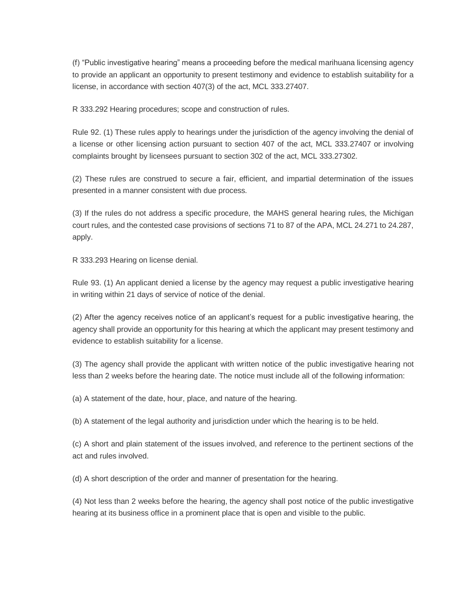(f) "Public investigative hearing" means a proceeding before the medical marihuana licensing agency to provide an applicant an opportunity to present testimony and evidence to establish suitability for a license, in accordance with section 407(3) of the act, MCL 333.27407.

R 333.292 Hearing procedures; scope and construction of rules.

Rule 92. (1) These rules apply to hearings under the jurisdiction of the agency involving the denial of a license or other licensing action pursuant to section 407 of the act, MCL 333.27407 or involving complaints brought by licensees pursuant to section 302 of the act, MCL 333.27302.

(2) These rules are construed to secure a fair, efficient, and impartial determination of the issues presented in a manner consistent with due process.

(3) If the rules do not address a specific procedure, the MAHS general hearing rules, the Michigan court rules, and the contested case provisions of sections 71 to 87 of the APA, MCL 24.271 to 24.287, apply.

R 333.293 Hearing on license denial.

Rule 93. (1) An applicant denied a license by the agency may request a public investigative hearing in writing within 21 days of service of notice of the denial.

(2) After the agency receives notice of an applicant's request for a public investigative hearing, the agency shall provide an opportunity for this hearing at which the applicant may present testimony and evidence to establish suitability for a license.

(3) The agency shall provide the applicant with written notice of the public investigative hearing not less than 2 weeks before the hearing date. The notice must include all of the following information:

(a) A statement of the date, hour, place, and nature of the hearing.

(b) A statement of the legal authority and jurisdiction under which the hearing is to be held.

(c) A short and plain statement of the issues involved, and reference to the pertinent sections of the act and rules involved.

(d) A short description of the order and manner of presentation for the hearing.

(4) Not less than 2 weeks before the hearing, the agency shall post notice of the public investigative hearing at its business office in a prominent place that is open and visible to the public.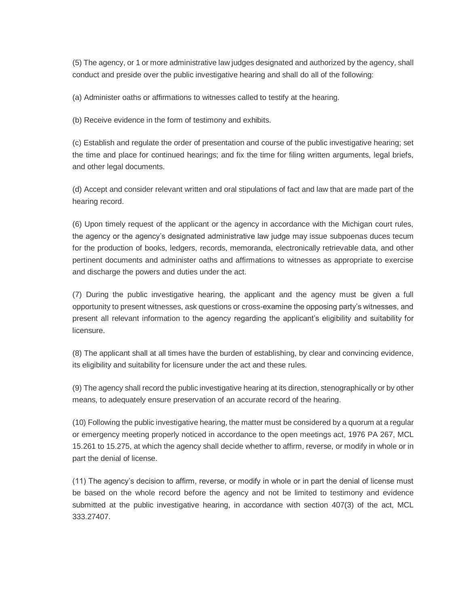(5) The agency, or 1 or more administrative law judges designated and authorized by the agency, shall conduct and preside over the public investigative hearing and shall do all of the following:

(a) Administer oaths or affirmations to witnesses called to testify at the hearing.

(b) Receive evidence in the form of testimony and exhibits.

(c) Establish and regulate the order of presentation and course of the public investigative hearing; set the time and place for continued hearings; and fix the time for filing written arguments, legal briefs, and other legal documents.

(d) Accept and consider relevant written and oral stipulations of fact and law that are made part of the hearing record.

(6) Upon timely request of the applicant or the agency in accordance with the Michigan court rules, the agency or the agency's designated administrative law judge may issue subpoenas duces tecum for the production of books, ledgers, records, memoranda, electronically retrievable data, and other pertinent documents and administer oaths and affirmations to witnesses as appropriate to exercise and discharge the powers and duties under the act.

(7) During the public investigative hearing, the applicant and the agency must be given a full opportunity to present witnesses, ask questions or cross-examine the opposing party's witnesses, and present all relevant information to the agency regarding the applicant's eligibility and suitability for licensure.

(8) The applicant shall at all times have the burden of establishing, by clear and convincing evidence, its eligibility and suitability for licensure under the act and these rules.

(9) The agency shall record the public investigative hearing at its direction, stenographically or by other means, to adequately ensure preservation of an accurate record of the hearing.

(10) Following the public investigative hearing, the matter must be considered by a quorum at a regular or emergency meeting properly noticed in accordance to the open meetings act, 1976 PA 267, MCL 15.261 to 15.275, at which the agency shall decide whether to affirm, reverse, or modify in whole or in part the denial of license.

(11) The agency's decision to affirm, reverse, or modify in whole or in part the denial of license must be based on the whole record before the agency and not be limited to testimony and evidence submitted at the public investigative hearing, in accordance with section 407(3) of the act, MCL 333.27407.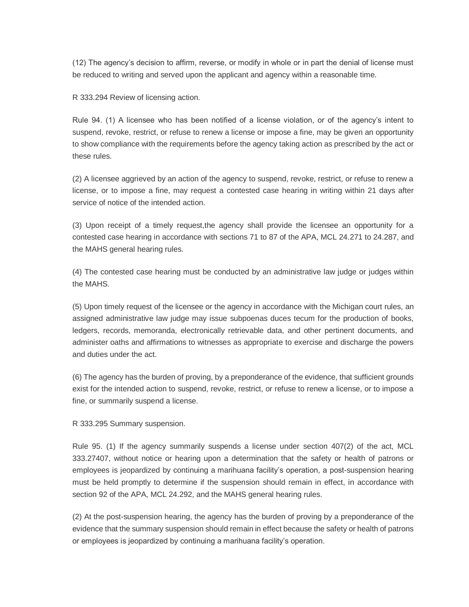(12) The agency's decision to affirm, reverse, or modify in whole or in part the denial of license must be reduced to writing and served upon the applicant and agency within a reasonable time.

R 333.294 Review of licensing action.

Rule 94. (1) A licensee who has been notified of a license violation, or of the agency's intent to suspend, revoke, restrict, or refuse to renew a license or impose a fine, may be given an opportunity to show compliance with the requirements before the agency taking action as prescribed by the act or these rules.

(2) A licensee aggrieved by an action of the agency to suspend, revoke, restrict, or refuse to renew a license, or to impose a fine, may request a contested case hearing in writing within 21 days after service of notice of the intended action.

(3) Upon receipt of a timely request,the agency shall provide the licensee an opportunity for a contested case hearing in accordance with sections 71 to 87 of the APA, MCL 24.271 to 24.287, and the MAHS general hearing rules.

(4) The contested case hearing must be conducted by an administrative law judge or judges within the MAHS.

(5) Upon timely request of the licensee or the agency in accordance with the Michigan court rules, an assigned administrative law judge may issue subpoenas duces tecum for the production of books, ledgers, records, memoranda, electronically retrievable data, and other pertinent documents, and administer oaths and affirmations to witnesses as appropriate to exercise and discharge the powers and duties under the act.

(6) The agency has the burden of proving, by a preponderance of the evidence, that sufficient grounds exist for the intended action to suspend, revoke, restrict, or refuse to renew a license, or to impose a fine, or summarily suspend a license.

R 333.295 Summary suspension.

Rule 95. (1) If the agency summarily suspends a license under section 407(2) of the act, MCL 333.27407, without notice or hearing upon a determination that the safety or health of patrons or employees is jeopardized by continuing a marihuana facility's operation, a post-suspension hearing must be held promptly to determine if the suspension should remain in effect, in accordance with section 92 of the APA, MCL 24.292, and the MAHS general hearing rules.

(2) At the post-suspension hearing, the agency has the burden of proving by a preponderance of the evidence that the summary suspension should remain in effect because the safety or health of patrons or employees is jeopardized by continuing a marihuana facility's operation.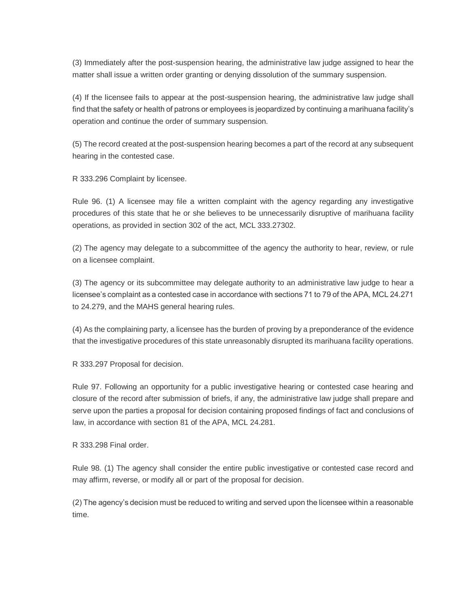(3) Immediately after the post-suspension hearing, the administrative law judge assigned to hear the matter shall issue a written order granting or denying dissolution of the summary suspension.

(4) If the licensee fails to appear at the post-suspension hearing, the administrative law judge shall find that the safety or health of patrons or employees is jeopardized by continuing a marihuana facility's operation and continue the order of summary suspension.

(5) The record created at the post-suspension hearing becomes a part of the record at any subsequent hearing in the contested case.

R 333.296 Complaint by licensee.

Rule 96. (1) A licensee may file a written complaint with the agency regarding any investigative procedures of this state that he or she believes to be unnecessarily disruptive of marihuana facility operations, as provided in section 302 of the act, MCL 333.27302.

(2) The agency may delegate to a subcommittee of the agency the authority to hear, review, or rule on a licensee complaint.

(3) The agency or its subcommittee may delegate authority to an administrative law judge to hear a licensee's complaint as a contested case in accordance with sections 71 to 79 of the APA, MCL 24.271 to 24.279, and the MAHS general hearing rules.

(4) As the complaining party, a licensee has the burden of proving by a preponderance of the evidence that the investigative procedures of this state unreasonably disrupted its marihuana facility operations.

R 333.297 Proposal for decision.

Rule 97. Following an opportunity for a public investigative hearing or contested case hearing and closure of the record after submission of briefs, if any, the administrative law judge shall prepare and serve upon the parties a proposal for decision containing proposed findings of fact and conclusions of law, in accordance with section 81 of the APA, MCL 24.281.

R 333.298 Final order.

Rule 98. (1) The agency shall consider the entire public investigative or contested case record and may affirm, reverse, or modify all or part of the proposal for decision.

(2) The agency's decision must be reduced to writing and served upon the licensee within a reasonable time.